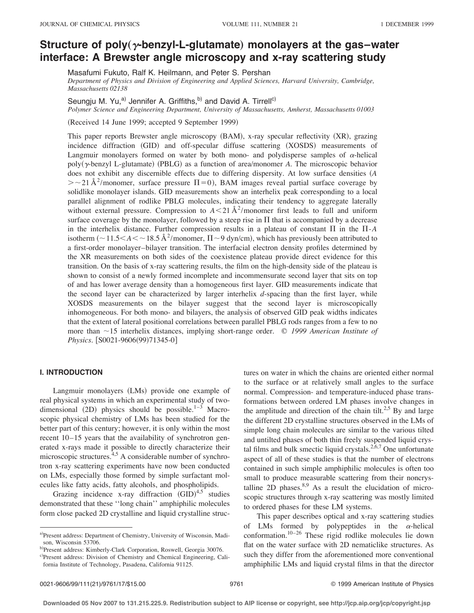# **Structure of poly** ( $\gamma$ -benzyl-L-glutamate) monolayers at the gas–water **interface: A Brewster angle microscopy and x-ray scattering study**

Masafumi Fukuto, Ralf K. Heilmann, and Peter S. Pershan

*Department of Physics and Division of Engineering and Applied Sciences, Harvard University, Cambridge, Massachusetts 02138*

Seungju M. Yu,<sup>a)</sup> Jennifer A. Griffiths,<sup>b)</sup> and David A. Tirrell<sup>c)</sup>

*Polymer Science and Engineering Department, University of Massachusetts, Amherst, Massachusetts 01003*

(Received 14 June 1999; accepted 9 September 1999)

This paper reports Brewster angle microscopy (BAM), x-ray specular reflectivity (XR), grazing incidence diffraction (GID) and off-specular diffuse scattering (XOSDS) measurements of Langmuir monolayers formed on water by both mono- and polydisperse samples of  $\alpha$ -helical poly( $\gamma$ -benzyl L-glutamate) (PBLG) as a function of area/monomer *A*. The microscopic behavior does not exhibit any discernible effects due to differing dispersity. At low surface densities (A  $\geq$  21 Å<sup>2</sup>/monomer, surface pressure  $\Pi$  = 0), BAM images reveal partial surface coverage by solidlike monolayer islands. GID measurements show an interhelix peak corresponding to a local parallel alignment of rodlike PBLG molecules, indicating their tendency to aggregate laterally without external pressure. Compression to  $A < 21$   $\rm \AA^2/m$ onomer first leads to full and uniform surface coverage by the monolayer, followed by a steep rise in  $\Pi$  that is accompanied by a decrease in the interhelix distance. Further compression results in a plateau of constant  $\Pi$  in the  $\Pi$ - $A$ isotherm  $\left(\sim 11.5 < A < \sim 18.5 \text{ Å}^2/\text{monomer}, \Pi \sim 9 \text{ dyn/cm}\right)$ , which has previously been attributed to a first-order monolayer–bilayer transition. The interfacial electron density profiles determined by the XR measurements on both sides of the coexistence plateau provide direct evidence for this transition. On the basis of x-ray scattering results, the film on the high-density side of the plateau is shown to consist of a newly formed incomplete and incommensurate second layer that sits on top of and has lower average density than a homogeneous first layer. GID measurements indicate that the second layer can be characterized by larger interhelix *d*-spacing than the first layer, while XOSDS measurements on the bilayer suggest that the second layer is microscopically inhomogeneous. For both mono- and bilayers, the analysis of observed GID peak widths indicates that the extent of lateral positional correlations between parallel PBLG rods ranges from a few to no more than %15 interhelix distances, implying short-range order. © *1999 American Institute of Physics.* [S0021-9606(99)71345-0]

# **I. INTRODUCTION**

Langmuir monolayers (LMs) provide one example of real physical systems in which an experimental study of twodimensional  $(2D)$  physics should be possible.<sup>1–3</sup> Macroscopic physical chemistry of LMs has been studied for the better part of this century; however, it is only within the most recent 10–15 years that the availability of synchrotron generated x-rays made it possible to directly characterize their microscopic structures.<sup>4,5</sup> A considerable number of synchrotron x-ray scattering experiments have now been conducted on LMs, especially those formed by simple surfactant molecules like fatty acids, fatty alcohols, and phospholipids.

Grazing incidence x-ray diffraction  $(GID)^{4,5}$  studies demonstrated that these ''long chain'' amphiphilic molecules form close packed 2D crystalline and liquid crystalline struc-

c)Present address: Division of Chemistry and Chemical Engineering, California Institute of Technology, Pasadena, California 91125.

to the surface or at relatively small angles to the surface normal. Compression- and temperature-induced phase transformations between ordered LM phases involve changes in the amplitude and direction of the chain tilt.<sup>2,5</sup> By and large the different 2D crystalline structures observed in the LMs of simple long chain molecules are similar to the various tilted and untilted phases of both thin freely suspended liquid crystal films and bulk smectic liquid crystals.<sup>2,6,7</sup> One unfortunate aspect of all of these studies is that the number of electrons contained in such simple amphiphilic molecules is often too small to produce measurable scattering from their noncrystalline 2D phases. $8,9$  As a result the elucidation of microscopic structures through x-ray scattering was mostly limited to ordered phases for these LM systems. This paper describes optical and x-ray scattering studies

tures on water in which the chains are oriented either normal

of LMs formed by polypeptides in the  $\alpha$ -helical conformation.<sup>10–26</sup> These rigid rodlike molecules lie down flat on the water surface with 2D nematiclike structures. As such they differ from the aforementioned more conventional amphiphilic LMs and liquid crystal films in that the director

a)Present address: Department of Chemistry, University of Wisconsin, Madison, Wisconsin 53706.

b)Present address: Kimberly-Clark Corporation, Roswell, Georgia 30076.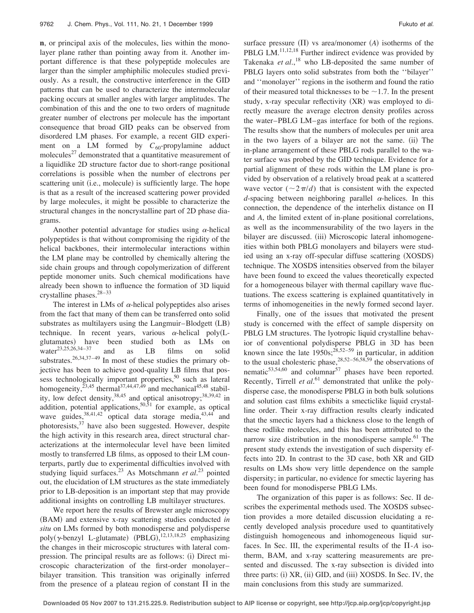**n**, or principal axis of the molecules, lies within the monolayer plane rather than pointing away from it. Another important difference is that these polypeptide molecules are larger than the simpler amphiphilic molecules studied previously. As a result, the constructive interference in the GID patterns that can be used to characterize the intermolecular packing occurs at smaller angles with larger amplitudes. The combination of this and the one to two orders of magnitude greater number of electrons per molecule has the important consequence that broad GID peaks can be observed from disordered LM phases. For example, a recent GID experiment on a LM formed by  $C_{60}$ -propylamine adduct molecules $^{27}$  demonstrated that a quantitative measurement of a liquidlike 2D structure factor due to short-range positional correlations is possible when the number of electrons per scattering unit (i.e., molecule) is sufficiently large. The hope is that as a result of the increased scattering power provided by large molecules, it might be possible to characterize the structural changes in the noncrystalline part of 2D phase diagrams.

Another potential advantage for studies using  $\alpha$ -helical polypeptides is that without compromising the rigidity of the helical backbones, their intermolecular interactions within the LM plane may be controlled by chemically altering the side chain groups and through copolymerization of different peptide monomer units. Such chemical modifications have already been shown to influence the formation of 3D liquid crystalline phases.28–33

The interest in LMs of  $\alpha$ -helical polypeptides also arises from the fact that many of them can be transferred onto solid substrates as multilayers using the Langmuir-Blodgett (LB) technique. In recent years, various  $\alpha$ -helical poly(Lglutamates) have been studied both as LMs on water<sup>23,25,26,34–37</sup> and as LB films on solid substrates.<sup>26,34,37-49</sup> In most of these studies the primary objective has been to achieve good-quality LB films that possess technologically important properties,<sup>50</sup> such as lateral homogeneity,<sup>23,45</sup> thermal<sup>37,44,47,49</sup> and mechanical<sup>45,48</sup> stability, low defect density,  $38,45$  and optical anisotropy;  $38,39,42$  in addition, potential applications,<sup>50,51</sup> for example, as optical wave guides,  $38,41,42$  optical data storage media,  $43,44$  and photoresists, $37$  have also been suggested. However, despite the high activity in this research area, direct structural characterizations at the intermolecular level have been limited mostly to transferred LB films, as opposed to their LM counterparts, partly due to experimental difficulties involved with studying liquid surfaces.23 As Motschmann *et al.*<sup>23</sup> pointed out, the elucidation of LM structures as the state immediately prior to LB-deposition is an important step that may provide additional insights on controlling LB multilayer structures.

We report here the results of Brewster angle microscopy (BAM) and extensive x-ray scattering studies conducted *in situ* on LMs formed by both monodisperse and polydisperse poly( $\gamma$ -benzyl L-glutamate) (PBLG),<sup>12,13,18,25</sup> emphasizing the changes in their microscopic structures with lateral compression. The principal results are as follows: (i) Direct microscopic characterization of the first-order monolayer– bilayer transition. This transition was originally inferred from the presence of a plateau region of constant  $\Pi$  in the surface pressure  $(\Pi)$  vs area/monomer  $(A)$  isotherms of the PBLG LM.<sup>11,12,18</sup> Further indirect evidence was provided by Takenaka *et al.*, <sup>18</sup> who LB-deposited the same number of PBLG layers onto solid substrates from both the ''bilayer'' and ''monolayer'' regions in the isotherm and found the ratio of their measured total thicknesses to be  $\sim$ 1.7. In the present study, x-ray specular reflectivity (XR) was employed to directly measure the average electron density profiles across the water–PBLG LM–gas interface for both of the regions. The results show that the numbers of molecules per unit area in the two layers of a bilayer are not the same. (ii) The in-plane arrangement of these PBLG rods parallel to the water surface was probed by the GID technique. Evidence for a partial alignment of these rods within the LM plane is provided by observation of a relatively broad peak at a scattered wave vector  $(\sim 2\pi/d)$  that is consistent with the expected *d*-spacing between neighboring parallel  $\alpha$ -helices. In this connection, the dependence of the interhelix distance on  $\Pi$ and *A*, the limited extent of in-plane positional correlations, as well as the incommensurability of the two layers in the bilayer are discussed. (iii) Microscopic lateral inhomogeneities within both PBLG monolayers and bilayers were studied using an x-ray off-specular diffuse scattering (XOSDS) technique. The XOSDS intensities observed from the bilayer have been found to exceed the values theoretically expected

for a homogeneous bilayer with thermal capillary wave fluctuations. The excess scattering is explained quantitatively in terms of inhomogeneities in the newly formed second layer.

Finally, one of the issues that motivated the present study is concerned with the effect of sample dispersity on PBLG LM structures. The lyotropic liquid crystalline behavior of conventional polydisperse PBLG in 3D has been known since the late  $1950s;^{28,52-59}$  in particular, in addition to the usual cholesteric phase,  $28,52-56,58,59$  the observations of nematic $53,54,60$  and columnar<sup>57</sup> phases have been reported. Recently, Tirrell *et al.*<sup>61</sup> demonstrated that unlike the polydisperse case, the monodisperse PBLG in both bulk solutions and solution cast films exhibits a smecticlike liquid crystalline order. Their x-ray diffraction results clearly indicated that the smectic layers had a thickness close to the length of these rodlike molecules, and this has been attributed to the narrow size distribution in the monodisperse sample.<sup>61</sup> The present study extends the investigation of such dispersity effects into 2D. In contrast to the 3D case, both XR and GID results on LMs show very little dependence on the sample dispersity; in particular, no evidence for smectic layering has been found for monodisperse PBLG LMs.

The organization of this paper is as follows: Sec. II describes the experimental methods used. The XOSDS subsection provides a more detailed discussion elucidating a recently developed analysis procedure used to quantitatively distinguish homogeneous and inhomogeneous liquid surfaces. In Sec. III, the experimental results of the  $\Pi$ -A isotherm, BAM, and x-ray scattering measurements are presented and discussed. The x-ray subsection is divided into three parts: (i) XR, (ii) GID, and (iii) XOSDS. In Sec. IV, the main conclusions from this study are summarized.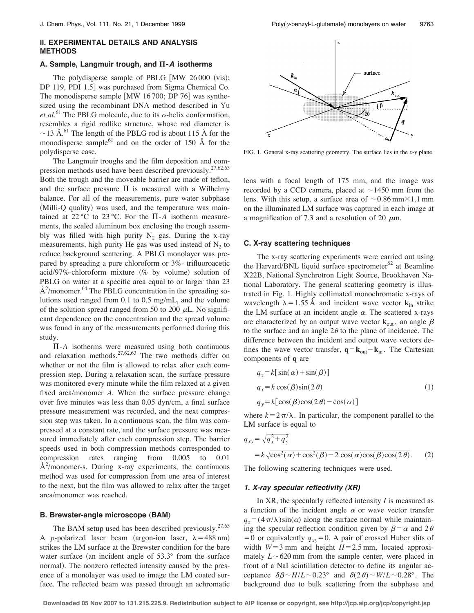# **II. EXPERIMENTAL DETAILS AND ANALYSIS METHODS**

# **A. Sample, Langmuir trough, and** "**-A isotherms**

The polydisperse sample of PBLG  $\lceil MW \rceil 26000 \text{ (vis)}$ ; DP 119, PDI 1.5] was purchased from Sigma Chemical Co. The monodisperse sample  $\lceil MW \rceil 16700$ ; DP 76 $\lceil$  was synthesized using the recombinant DNA method described in Yu *et al.*<sup>61</sup> The PBLG molecule, due to its  $\alpha$ -helix conformation, resembles a rigid rodlike structure, whose rod diameter is  $\sim$ 13 Å.<sup>61</sup> The length of the PBLG rod is about 115 Å for the monodisperse sample $^{61}$  and on the order of 150 Å for the polydisperse case.

The Langmuir troughs and the film deposition and compression methods used have been described previously.<sup>27,62,63</sup> Both the trough and the moveable barrier are made of teflon, and the surface pressure  $\Pi$  is measured with a Wilhelmy balance. For all of the measurements, pure water subphase (Milli-Q quality) was used, and the temperature was maintained at  $22^{\circ}$ C to  $23^{\circ}$ C. For the  $\Pi$ -*A* isotherm measurements, the sealed aluminum box enclosing the trough assembly was filled with high purity  $N_2$  gas. During the x-ray measurements, high purity He gas was used instead of  $N_2$  to reduce background scattering. A PBLG monolayer was prepared by spreading a pure chloroform or 3%- trifluoroacetic acid/97%-chloroform mixture (% by volume) solution of PBLG on water at a specific area equal to or larger than 23  $\AA^2$ /monomer.<sup>64</sup> The PBLG concentration in the spreading solutions used ranged from 0.1 to 0.5 mg/mL, and the volume of the solution spread ranged from 50 to 200  $\mu$ L. No significant dependence on the concentration and the spread volume was found in any of the measurements performed during this study.

&-*A* isotherms were measured using both continuous and relaxation methods.<sup>27,62,63</sup> The two methods differ on whether or not the film is allowed to relax after each compression step. During a relaxation scan, the surface pressure was monitored every minute while the film relaxed at a given fixed area/monomer *A*. When the surface pressure change over five minutes was less than 0.05 dyn/cm, a final surface pressure measurement was recorded, and the next compression step was taken. In a continuous scan, the film was compressed at a constant rate, and the surface pressure was measured immediately after each compression step. The barrier speeds used in both compression methods corresponded to compression rates ranging from 0.005 to 0.01  $A<sup>2</sup>/monomer-s$ . During x-ray experiments, the continuous method was used for compression from one area of interest to the next, but the film was allowed to relax after the target area/monomer was reached.

# **B.** Brewster-angle microscope (BAM)

The BAM setup used has been described previously.  $27,63$ A *p*-polarized laser beam (argon-ion laser,  $\lambda = 488$  nm) strikes the LM surface at the Brewster condition for the bare water surface (an incident angle of  $53.3^\circ$  from the surface normal). The nonzero reflected intensity caused by the presence of a monolayer was used to image the LM coated surface. The reflected beam was passed through an achromatic



FIG. 1. General x-ray scattering geometry. The surface lies in the *x-y* plane.

lens with a focal length of 175 mm, and the image was recorded by a CCD camera, placed at  $\sim$ 1450 mm from the lens. With this setup, a surface area of  $\sim 0.86$  mm $\times 1.1$  mm on the illuminated LM surface was captured in each image at a magnification of 7.3 and a resolution of 20  $\mu$ m.

# **C. X-ray scattering techniques**

The x-ray scattering experiments were carried out using the Harvard/BNL liquid surface spectrometer $62$  at Beamline X22B, National Synchrotron Light Source, Brookhaven National Laboratory. The general scattering geometry is illustrated in Fig. 1. Highly collimated monochromatic x-rays of wavelength  $\lambda = 1.55 \text{ Å}$  and incident wave vector **k**<sub>in</sub> strike the LM surface at an incident angle  $\alpha$ . The scattered x-rays are characterized by an output wave vector  $\mathbf{k}_{out}$ , an angle  $\beta$ to the surface and an angle  $2\theta$  to the plane of incidence. The difference between the incident and output wave vectors defines the wave vector transfer,  $\mathbf{q} = \mathbf{k}_{out} - \mathbf{k}_{in}$ . The Cartesian components of **q** are

$$
q_z = k[\sin(\alpha) + \sin(\beta)]
$$
  
\n
$$
q_x = k \cos(\beta) \sin(2\theta)
$$
  
\n
$$
q_y = k[\cos(\beta) \cos(2\theta) - \cos(\alpha)]
$$
\n(1)

where  $k = 2\pi/\lambda$ . In particular, the component parallel to the LM surface is equal to

$$
q_{xy} = \sqrt{q_x^2 + q_y^2}
$$
  
=  $k \sqrt{\cos^2(\alpha) + \cos^2(\beta) - 2 \cos(\alpha) \cos(\beta) \cos(2\theta)}$ . (2)

The following scattering techniques were used.

# **1. X-ray specular reflectivity (XR)**

In XR, the specularly reflected intensity *I* is measured as a function of the incident angle  $\alpha$  or wave vector transfer  $q_z = (4\pi/\lambda)\sin(\alpha)$  along the surface normal while maintaining the specular reflection condition given by  $\beta = \alpha$  and 2 $\theta$  $= 0$  or equivalently  $q_{xy} = 0$ . A pair of crossed Huber slits of width  $W=3$  mm and height  $H=2.5$  mm, located approximately  $L \sim 620$  mm from the sample center, were placed in front of a NaI scintillation detector to define its angular acceptance  $\delta\beta \sim H/L \sim 0.23^{\circ}$  and  $\delta(2\theta) \sim W/L \sim 0.28^{\circ}$ . The background due to bulk scattering from the subphase and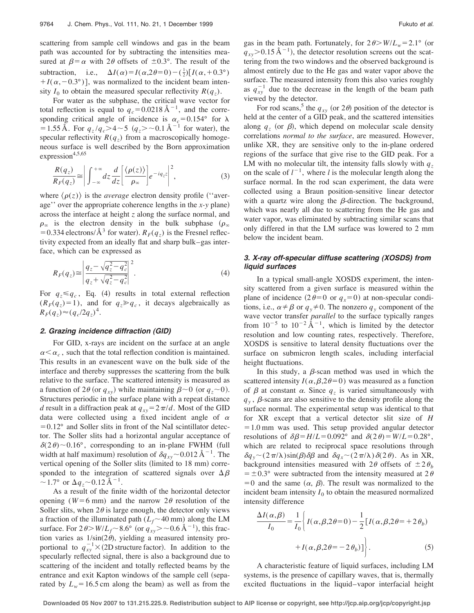scattering from sample cell windows and gas in the beam path was accounted for by subtracting the intensities measured at  $\beta = \alpha$  with 2 $\theta$  offsets of  $\pm 0.3^{\circ}$ . The result of the subtraction, i.e.,  $\Delta I(\alpha) = I(\alpha, 2\theta = 0) - (\frac{1}{2})[I(\alpha, +0.3^{\circ})$  $+I(\alpha, -0.3^{\circ})$ ], was normalized to the incident beam intensity  $I_0$  to obtain the measured specular reflectivity  $R(q_z)$ .

For water as the subphase, the critical wave vector for total reflection is equal to  $q_c = 0.0218 \text{ Å}^{-1}$ , and the corresponding critical angle of incidence is  $\alpha_c = 0.154$ ° for  $\lambda$  $= 1.55 \text{ Å}$ . For  $q_z/q_c > 4 \sim 5$   $(q_z > \sim 0.1 \text{ Å}^{-1}$  for water), the specular reflectivity  $R(q_z)$  from a macroscopically homogeneous surface is well described by the Born approximation expression $4,5,65$ 

$$
\frac{R(q_z)}{R_F(q_z)} \approx \left| \int_{-\infty}^{+\infty} dz \frac{d}{dz} \left[ \frac{\langle \rho(z) \rangle}{\rho_{\infty}} \right] e^{-iq_z z} \right|^2, \tag{3}
$$

where  $\langle \rho(z) \rangle$  is the *average* electron density profile ("average'' over the appropriate coherence lengths in the  *plane)* across the interface at height *z* along the surface normal, and  $\rho_{\infty}$  is the electron density in the bulk subphase  $(\rho_{\infty})$ = 0.334 electrons/ $\AA^3$  for water).  $R_F(q_z)$  is the Fresnel reflectivity expected from an ideally flat and sharp bulk–gas interface, which can be expressed as

$$
R_F(q_z) \approx \left| \frac{q_z - \sqrt{q_z^2 - q_c^2}}{q_z + \sqrt{q_z^2 - q_c^2}} \right|^2.
$$
 (4)

For  $q_z \leq q_c$ , Eq. (4) results in total external reflection  $(R_F(q_z)=1)$ , and for  $q_z \geqslant q_c$ , it decays algebraically as  $R_F(q_z) \approx (q_c/2q_z)^4$ .

### **2. Grazing incidence diffraction (GID)**

For GID, x-rays are incident on the surface at an angle  $\alpha < \alpha_c$ , such that the total reflection condition is maintained. This results in an evanescent wave on the bulk side of the interface and thereby suppresses the scattering from the bulk relative to the surface. The scattered intensity is measured as a function of  $2\theta$  (or  $q_{xy}$ ) while maintaining  $\beta \sim 0$  (or  $q_z \sim 0$ ). Structures periodic in the surface plane with a repeat distance *d* result in a diffraction peak at  $q_{xy} = 2\pi/d$ . Most of the GID data were collected using a fixed incident angle of  $\alpha$  $= 0.12^{\circ}$  and Soller slits in front of the NaI scintillator detector. The Soller slits had a horizontal angular acceptance of  $\delta(2\theta)$  ~ 0.16°, corresponding to an in-plane FWHM (full width at half maximum) resolution of  $\delta q_{xy}$  ~ 0.012 Å<sup>-1</sup>. The vertical opening of the Soller slits (limited to 18 mm) corresponded to the integration of scattered signals over  $\Delta \beta$  $\sim$  1.7° or  $\Delta q$ <sub>z</sub> ~ 0.12 Å<sup>-1</sup>.

As a result of the finite width of the horizontal detector opening ( $W=6$  mm) and the narrow  $2\theta$  resolution of the Soller slits, when  $2\theta$  is large enough, the detector only views a fraction of the illuminated path  $(L_f \sim 40 \text{ mm})$  along the LM surface. For  $2\theta$  *W*/*L<sub>f</sub>* ~ 8.6° (or  $q_{xy}$  > ~ 0.6 Å<sup>-1</sup>), this fraction varies as  $1/\sin(2\theta)$ , yielding a measured intensity proportional to  $q_{xy}^{-1} \times (2D)$  structure factor). In addition to the specularly reflected signal, there is also a background due to scattering of the incident and totally reflected beams by the entrance and exit Kapton windows of the sample cell (separated by  $L_w = 16.5$  cm along the beam) as well as from the gas in the beam path. Fortunately, for  $2\theta > W/L_w = 2.1^\circ$  (or  $q_{xy}$  > 0.15 Å<sup>-1</sup>), the detector resolution screens out the scattering from the two windows and the observed background is almost entirely due to the He gas and water vapor above the surface. The measured intensity from this also varies roughly as  $q_{xy}^{-1}$  due to the decrease in the length of the beam path viewed by the detector.

For rod scans,<sup>5</sup> the  $q_{xy}$  (or 2 $\theta$ ) position of the detector is held at the center of a GID peak, and the scattered intensities along  $q<sub>z</sub>$  (or  $\beta$ ), which depend on molecular scale density correlations *normal to the surface*, are measured. However, unlike XR, they are sensitive only to the in-plane ordered regions of the surface that give rise to the GID peak. For a LM with no molecular tilt, the intensity falls slowly with  $q_z$ on the scale of  $l^{-1}$ , where *l* is the molecular length along the surface normal. In the rod scan experiment, the data were collected using a Braun position-sensitive linear detector with a quartz wire along the  $\beta$ -direction. The background, which was nearly all due to scattering from the He gas and water vapor, was eliminated by subtracting similar scans that only differed in that the LM surface was lowered to 2 mm below the incident beam.

# **3. X-ray off-specular diffuse scattering (XOSDS) from liquid surfaces**

In a typical small-angle XOSDS experiment, the intensity scattered from a given surface is measured within the plane of incidence  $(2\theta=0 \text{ or } q_x=0)$  at non-specular conditions, i.e.,  $\alpha \neq \beta$  or  $q_y \neq 0$ . The nonzero  $q_y$  component of the wave vector transfer *parallel* to the surface typically ranges from  $10^{-5}$  to  $10^{-2} \text{Å}^{-1}$ , which is limited by the detector resolution and low counting rates, respectively. Therefore, XOSDS is sensitive to lateral density fluctuations over the surface on submicron length scales, including interfacial height fluctuations.

In this study, a  $\beta$ -scan method was used in which the scattered intensity  $I(\alpha, \beta, 2\theta=0)$  was measured as a function of  $\beta$  at constant  $\alpha$ . Since  $q_z$  is varied simultaneously with  $q<sub>y</sub>$ ,  $\beta$ -scans are also sensitive to the density profile along the surface normal. The experimental setup was identical to that for XR except that a vertical detector slit size of *H*  $= 1.0$  mm was used. This setup provided angular detector resolutions of  $\delta\beta = H/L = 0.092^{\circ}$  and  $\delta(2\theta) = W/L = 0.28^{\circ}$ , which are related to reciprocal space resolutions through  $\delta q_{y} \sim (2\pi/\lambda) \sin(\beta) \delta \beta$  and  $\delta q_{x} \sim (2\pi/\lambda) \delta(2\theta)$ . As in XR, background intensities measured with  $2\theta$  offsets of  $\pm 2\theta_h$  $= \pm 0.3^{\circ}$  were subtracted from the intensity measured at 2 $\theta$  $= 0$  and the same  $(\alpha, \beta)$ . The result was normalized to the incident beam intensity  $I_0$  to obtain the measured normalized intensity difference

$$
\frac{\Delta I(\alpha,\beta)}{I_0} = \frac{1}{I_0} \left\{ I(\alpha,\beta,2\theta=0) - \frac{1}{2} [I(\alpha,\beta,2\theta=+2\theta_b) + I(\alpha,\beta,2\theta=-2\theta_b)] \right\}.
$$
\n(5)

A characteristic feature of liquid surfaces, including LM systems, is the presence of capillary waves, that is, thermally excited fluctuations in the liquid–vapor interfacial height

**Downloaded 05 Nov 2007 to 131.215.225.9. Redistribution subject to AIP license or copyright, see http://jcp.aip.org/jcp/copyright.jsp**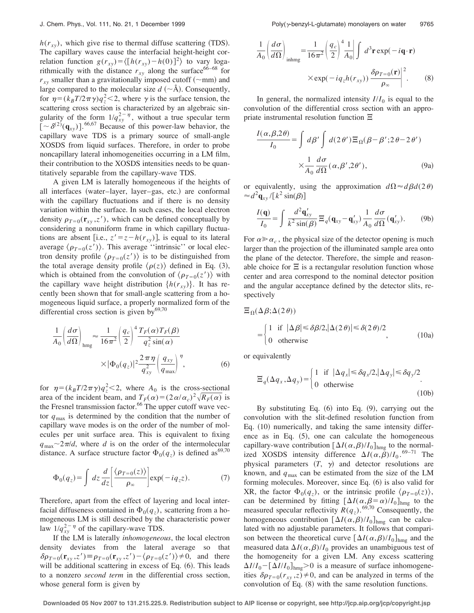$h(r_{xy})$ , which give rise to thermal diffuse scattering (TDS). The capillary waves cause the interfacial height-height correlation function  $g(r_{xy}) = \langle [h(r_{xy}) - h(0)]^2 \rangle$  to vary logarithmically with the distance  $r_{xy}$  along the surface<sup>66–68</sup> for  $r_{xy}$  smaller than a gravitationally imposed cutoff ( $\sim$ mm) and large compared to the molecular size  $d \sim \text{\AA}$ . Consequently, for  $\eta = (k_B T/2\pi \gamma) q_z^2 < 2$ , where  $\gamma$  is the surface tension, the scattering cross section is characterized by an algebraic singularity of the form  $1/q_{xy}^{2-\eta}$ , without a true specular term  $[-\delta^{(2)}(\mathbf{q}_{xy})]$ .<sup>66,67</sup> Because of this power-law behavior, the capillary wave TDS is a primary source of small-angle XOSDS from liquid surfaces. Therefore, in order to probe noncapillary lateral inhomogeneities occurring in a LM film, their contribution to the XOSDS intensities needs to be quantitatively separable from the capillary-wave TDS.

A given LM is laterally homogeneous if the heights of all interfaces (water–layer, layer–gas, etc.) are conformal with the capillary fluctuations and if there is no density variation within the surface. In such cases, the local electron density  $\rho_{T=0}(\mathbf{r}_{xy}, z')$ , which can be defined conceptually by considering a nonuniform frame in which capillary fluctuations are absent [i.e.,  $z' = z - h(r_{xy})$ ], is equal to its lateral average  $\langle \rho_{T=0}(z') \rangle$ . This average "intrinsic" or local electron density profile  $\langle \rho_{T=0}(z') \rangle$  is to be distinguished from the total average density profile  $\langle \rho(z) \rangle$  defined in Eq. (3), which is obtained from the convolution of  $\langle \rho_{T=0}(z') \rangle$  with the capillary wave height distribution  $\{h(r_{xy})\}$ . It has recently been shown that for small-angle scattering from a homogeneous liquid surface, a properly normalized form of the differential cross section is given by $69,70$ 

$$
\frac{1}{A_0} \left( \frac{d\sigma}{d\Omega} \right)_{\text{hmg}} \approx \frac{1}{16\pi^2} \left( \frac{q_c}{2} \right)^4 \frac{T_F(\alpha) T_F(\beta)}{q_z^2 \sin(\alpha)} \times |\Phi_0(q_z)|^2 \frac{2\pi\eta}{q_{xy}^2} \left( \frac{q_{xy}}{q_{\text{max}}} \right)^{\eta},
$$
\n(6)

for  $\eta = (k_B T / 2\pi \gamma) q_z^2 < 2$ , where  $A_0$  is the cross-sectional area of the incident beam, and  $T_F(\alpha) = (2 \alpha/\alpha_c)^2 \sqrt{R_F(\alpha)}$  is the Fresnel transmission factor.<sup>66</sup> The upper cutoff wave vector  $q_{\text{max}}$  is determined by the condition that the number of capillary wave modes is on the order of the number of molecules per unit surface area. This is equivalent to fixing  $q_{\text{max}} \sim 2\pi/d$ , where *d* is on the order of the intermolecular distance. A surface structure factor  $\Phi_0(q_z)$  is defined as<sup>69,70</sup>

$$
\Phi_0(q_z) = \int dz \frac{d}{dz} \left[ \frac{\langle \rho_{T=0}(z) \rangle}{\rho_{\infty}} \right] \exp(-iq_z z). \tag{7}
$$

Therefore, apart from the effect of layering and local interfacial diffuseness contained in  $\Phi_0(q_z)$ , scattering from a homogeneous LM is still described by the characteristic power law  $1/q_{xy}^{2-\eta}$  of the capillary-wave TDS.

If the LM is laterally *inhomogeneous*, the local electron density deviates from the lateral average so that  $\delta \rho_{T=0}(\mathbf{r}_{xy}, z') \equiv \rho_{T=0}(\mathbf{r}_{xy}, z') - \langle \rho_{T=0}(z') \rangle \neq 0$ , and there will be additional scattering in excess of Eq.  $(6)$ . This leads to a nonzero *second term* in the differential cross section, whose general form is given by

$$
\frac{1}{A_0} \left( \frac{d\sigma}{d\Omega} \right)_{\text{inhmg}} = \frac{1}{16\pi^2} \left( \frac{q_c}{2} \right)^4 \frac{1}{A_0} \left| \int d^3 \mathbf{r} \exp(-i\mathbf{q} \cdot \mathbf{r}) \right.
$$
  
 
$$
\times \exp(-i q_z h(r_{xy})) \frac{\delta \rho_{T=0}(\mathbf{r})}{\rho_{\infty}} \right|^2.
$$
 (8)

In general, the normalized intensity  $I/I_0$  is equal to the convolution of the differential cross section with an appropriate instrumental resolution function  $\Xi$ 

$$
\frac{I(\alpha, \beta, 2\theta)}{I_0} = \int d\beta' \int d(2\theta') \Xi_{\Omega}(\beta - \beta'; 2\theta - 2\theta')
$$

$$
\times \frac{1}{A_0} \frac{d\sigma}{d\Omega}(\alpha, \beta', 2\theta'), \tag{9a}
$$

or equivalently, using the approximation  $d\Omega \approx d\beta d(2\theta)$  $\approx d^2 \mathbf{q}_{xy} / [k^2 \sin(\beta)]$ 

$$
\frac{I(\mathbf{q})}{I_0} = \int \frac{d^2 \mathbf{q}'_{xy}}{k^2 \sin(\beta)} \Xi_q(\mathbf{q}_{xy} - \mathbf{q}'_{xy}) \frac{1}{A_0} \frac{d\sigma}{d\Omega}(\mathbf{q}'_{xy}).
$$
 (9b)

For  $\alpha \gg \alpha_c$ , the physical size of the detector opening is much larger than the projection of the illuminated sample area onto the plane of the detector. Therefore, the simple and reasonable choice for  $\Xi$  is a rectangular resolution function whose center and area correspond to the nominal detector position and the angular acceptance defined by the detector slits, respectively

$$
\Xi_{\Omega}(\Delta \beta; \Delta(2\theta))
$$
  
= 
$$
\begin{cases} 1 & \text{if } |\Delta \beta| \le \delta \beta/2, |\Delta(2\theta)| \le \delta(2\theta)/2, \\ 0 & \text{otherwise} \end{cases}
$$
 (10a)

or equivalently

$$
\Xi_q(\Delta q_x, \Delta q_y) = \begin{cases} 1 & \text{if } |\Delta q_x| \le \delta q_x/2, |\Delta q_y| \le \delta q_y/2 \\ 0 & \text{otherwise} \end{cases}
$$
 (10b)

By substituting Eq.  $(6)$  into Eq.  $(9)$ , carrying out the convolution with the slit-defined resolution function from Eq.  $(10)$  numerically, and taking the same intensity difference as in Eq.  $(5)$ , one can calculate the homogeneous capillary-wave contribution  $[\Delta I(\alpha, \beta)/I_0]_{\text{hmg}}$  to the normalized XOSDS intensity difference  $\Delta I(\alpha, \beta)/I_0$ .<sup>69–71</sup> The physical parameters  $(T, \gamma)$  and detector resolutions are known, and  $q_{\text{max}}$  can be estimated from the size of the LM forming molecules. Moreover, since Eq.  $(6)$  is also valid for XR, the factor  $\Phi_0(q_z)$ , or the intrinsic profile  $\langle \rho_{T=0}(z) \rangle$ , can be determined by fitting  $[\Delta I(\alpha, \beta = \alpha)/I_0]_{\text{hmg}}$  to the measured specular reflectivity  $R(q_z)$ .<sup>69,70</sup> Consequently, the homogeneous contribution  $[\Delta I(\alpha, \beta)/I_0]_{hm}$  can be calculated with no adjustable parameters. It follows that comparison between the theoretical curve  $[\Delta I(\alpha, \beta)/I_0]_{hm}$  and the measured data  $\Delta I(\alpha, \beta)/I_0$  provides an unambiguous test of the homogeneity for a given LM. Any excess scattering  $\Delta I/I_0 - [\Delta I/I_0]_{hm} > 0$  is a measure of surface inhomogeneities  $\delta \rho_{T=0}(r_{xy}, z) \neq 0$ , and can be analyzed in terms of the convolution of Eq.  $(8)$  with the same resolution functions.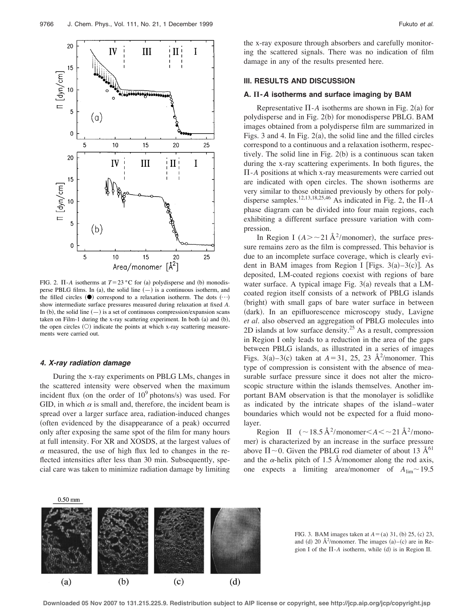

FIG. 2.  $\Pi$ -*A* isotherms at  $T = 23 \degree C$  for (a) polydisperse and (b) monodisperse PBLG films. In (a), the solid line  $(-)$  is a continuous isotherm, and the filled circles  $(①)$  correspond to a relaxation isotherm. The dots  $( \cdots )$ show intermediate surface pressures measured during relaxation at fixed *A*. In (b), the solid line  $(-)$  is a set of continuous compression/expansion scans taken on Film-1 during the x-ray scattering experiment. In both  $(a)$  and  $(b)$ , the open circles  $(O)$  indicate the points at which x-ray scattering measurements were carried out.

#### **4. X-ray radiation damage**

During the x-ray experiments on PBLG LMs, changes in the scattered intensity were observed when the maximum incident flux (on the order of  $10^9$  photons/s) was used. For GID, in which  $\alpha$  is small and, therefore, the incident beam is spread over a larger surface area, radiation-induced changes (often evidenced by the disappearance of a peak) occurred only after exposing the same spot of the film for many hours at full intensity. For XR and XOSDS, at the largest values of  $\alpha$  measured, the use of high flux led to changes in the reflected intensities after less than 30 min. Subsequently, special care was taken to minimize radiation damage by limiting the x-ray exposure through absorbers and carefully monitoring the scattered signals. There was no indication of film damage in any of the results presented here.

# **III. RESULTS AND DISCUSSION**

### A.  $\Pi$ -A isotherms and surface imaging by BAM

Representative  $\Pi$ -*A* isotherms are shown in Fig. 2(a) for polydisperse and in Fig. 2(b) for monodisperse PBLG. BAM images obtained from a polydisperse film are summarized in Figs. 3 and 4. In Fig.  $2(a)$ , the solid line and the filled circles correspond to a continuous and a relaxation isotherm, respectively. The solid line in Fig.  $2(b)$  is a continuous scan taken during the x-ray scattering experiments. In both figures, the  $\Pi$ - $A$  positions at which x-ray measurements were carried out are indicated with open circles. The shown isotherms are very similar to those obtained previously by others for polydisperse samples.<sup>12,13,18,25,46</sup> As indicated in Fig. 2, the  $\overline{\Pi}$ -*A* phase diagram can be divided into four main regions, each exhibiting a different surface pressure variation with compression.

In Region I  $(A > -21 \text{ Å}^2/\text{monomer})$ , the surface pressure remains zero as the film is compressed. This behavior is due to an incomplete surface coverage, which is clearly evident in BAM images from Region I [Figs.  $3(a) - 3(c)$ ]. As deposited, LM-coated regions coexist with regions of bare water surface. A typical image Fig.  $3(a)$  reveals that a LMcoated region itself consists of a network of PBLG islands (bright) with small gaps of bare water surface in between (dark). In an epifluorescence microscopy study, Lavigne *et al.* also observed an aggregation of PBLG molecules into 2D islands at low surface density.<sup>25</sup> As a result, compression in Region I only leads to a reduction in the area of the gaps between PBLG islands, as illustrated in a series of images Figs.  $3(a) - 3(c)$  taken at  $A = 31$ , 25, 23 Å<sup>2</sup>/monomer. This type of compression is consistent with the absence of measurable surface pressure since it does not alter the microscopic structure within the islands themselves. Another important BAM observation is that the monolayer is solidlike as indicated by the intricate shapes of the island–water boundaries which would not be expected for a fluid monolayer.

Region II  $({\sim}18.5 \text{ Å}^2/\text{monomer} < A < {\sim}21 \text{ Å}^2/\text{monod}$ mer) is characterized by an increase in the surface pressure above  $\Pi$  ~0. Given the PBLG rod diameter of about 13 Å<sup>61</sup> and the  $\alpha$ -helix pitch of 1.5 Å/monomer along the rod axis, one expects a limiting area/monomer of  $A_{\text{lim}} \sim 19.5$ 



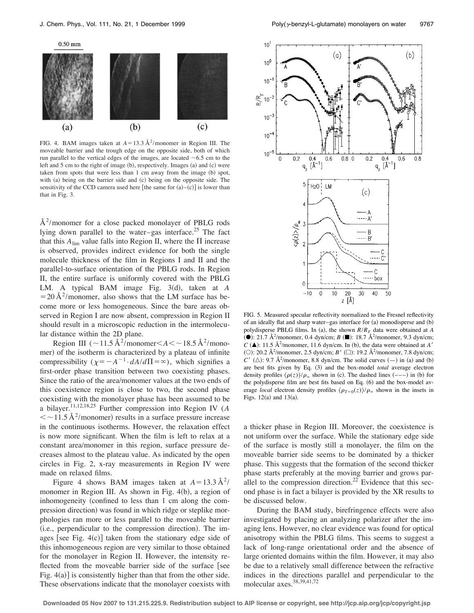

FIG. 4. BAM images taken at  $A = 13.3 \text{ Å}^2/\text{monomer}$  in Region III. The moveable barrier and the trough edge on the opposite side, both of which run parallel to the vertical edges of the images, are located  $~6.5$  cm to the left and  $5$  cm to the right of image (b), respectively. Images (a) and (c) were taken from spots that were less than 1 cm away from the image (b) spot, with (a) being on the barrier side and (c) being on the opposite side. The sensitivity of the CCD camera used here [the same for  $(a)$ – $(c)$ ] is lower than that in Fig. 3.

 $A<sup>2</sup>/$ monomer for a close packed monolayer of PBLG rods lying down parallel to the water–gas interface.<sup>25</sup> The fact that this  $A_{\text{lim}}$  value falls into Region II, where the  $\Pi$  increase is observed, provides indirect evidence for both the single molecule thickness of the film in Regions I and II and the parallel-to-surface orientation of the PBLG rods. In Region II, the entire surface is uniformly covered with the PBLG LM. A typical BAM image Fig.  $3(d)$ , taken at *A*  $= 20 \text{ Å}^2$ /monomer, also shows that the LM surface has become more or less homogeneous. Since the bare areas observed in Region I are now absent, compression in Region II should result in a microscopic reduction in the intermolecular distance within the 2D plane.

Region III ( $\sim$ 11.5 Å<sup>2</sup>/monomer  $\lt$  *A*  $\lt$   $\sim$  18.5 Å<sup>2</sup>/monomer) of the isotherm is characterized by a plateau of infinite compressibility  $(\chi = -A^{-1} \cdot dA/d\Pi = \infty)$ , which signifies a first-order phase transition between two coexisting phases. Since the ratio of the area/monomer values at the two ends of this coexistence region is close to two, the second phase coexisting with the monolayer phase has been assumed to be a bilayer.11,12,18,25 Further compression into Region IV (*A*  $\langle \sim 11.5 \text{ Å}^2/\text{monomer} \rangle$  results in a surface pressure increase in the continuous isotherms. However, the relaxation effect is now more significant. When the film is left to relax at a constant area/monomer in this region, surface pressure decreases almost to the plateau value. As indicated by the open circles in Fig. 2, x-ray measurements in Region IV were made on relaxed films.

Figure 4 shows BAM images taken at  $A = 13.3 \text{ Å}^2$ / monomer in Region III. As shown in Fig.  $4(b)$ , a region of inhomogeneity (confined to less than 1 cm along the compression direction) was found in which ridge or steplike morphologies ran more or less parallel to the moveable barrier  $(i.e., perpendicular to the compression direction).$  The images [see Fig.  $4(c)$ ] taken from the stationary edge side of this inhomogeneous region are very similar to those obtained for the monolayer in Region II. However, the intensity reflected from the moveable barrier side of the surface [see Fig.  $4(a)$ ] is consistently higher than that from the other side. These observations indicate that the monolayer coexists with



FIG. 5. Measured specular reflectivity normalized to the Fresnel reflectivity of an ideally flat and sharp water–gas interface for  $(a)$  monodisperse and  $(b)$ polydisperse PBLG films. In (a), the shown  $R/R_F$  data were obtained at *A* (**•**): 21.7 Å<sup>2</sup>/monomer, 0.4 dyn/cm; *B* (■): 18.7 Å<sup>2</sup>/monomer, 9.3 dyn/cm;  $C$  ( $\triangle$ ): 11.5 Å<sup>2</sup>/monomer, 11.6 dyn/cm. In (b), the data were obtained at *A'* (O): 20.2 Å<sup>2</sup>/monomer, 2.5 dyn/cm; *B'* ( $\square$ ): 19.2 Å<sup>2</sup>/monomer, 7.8 dyn/cm;  $C'$  ( $\triangle$ ): 9.7 Å<sup>2</sup>/monomer, 8.8 dyn/cm. The solid curves  $(-)$  in (a) and (b) are best fits given by Eq. (3) and the box-model *total* average electron density profiles  $\langle \rho(z) \rangle / \rho_{\infty}$  shown in (c). The dashed lines  $(--)$  in (b) for the polydisperse film are best fits based on Eq. (6) and the box-model average *local* electron density profiles  $\langle \rho_{T=0}(z) \rangle / \rho_{\infty}$  shown in the insets in Figs.  $12(a)$  and  $13(a)$ .

a thicker phase in Region III. Moreover, the coexistence is not uniform over the surface. While the stationary edge side of the surface is mostly still a monolayer, the film on the moveable barrier side seems to be dominated by a thicker phase. This suggests that the formation of the second thicker phase starts preferably at the moving barrier and grows parallel to the compression direction.<sup>22</sup> Evidence that this second phase is in fact a bilayer is provided by the XR results to be discussed below.

During the BAM study, birefringence effects were also investigated by placing an analyzing polarizer after the imaging lens. However, no clear evidence was found for optical anisotropy within the PBLG films. This seems to suggest a lack of long-range orientational order and the absence of large oriented domains within the film. However, it may also be due to a relatively small difference between the refractive indices in the directions parallel and perpendicular to the molecular axes.38,39,41,72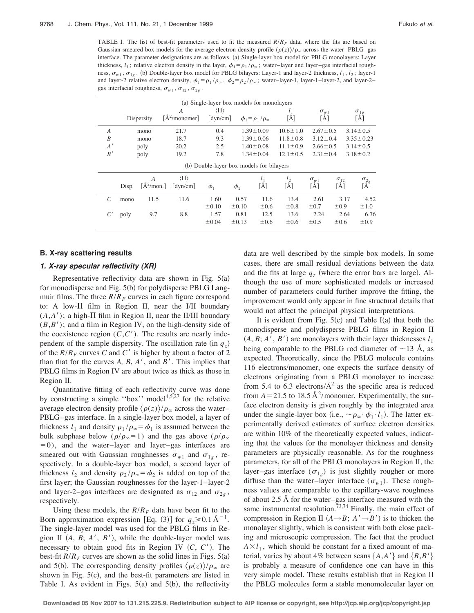TABLE I. The list of best-fit parameters used to fit the measured  $R/R<sub>F</sub>$  data, where the fits are based on Gaussian-smeared box models for the average electron density profile  $\langle \rho(z) \rangle / \rho_{\infty}$  across the water–PBLG–gas interface. The parameter designations are as follows. (a) Single-layer box model for PBLG monolayers: Layer thickness,  $l_1$ ; relative electron density in the layer,  $\phi_1 = \rho_1 / \rho_\infty$ ; water–layer and layer–gas interfacial roughness,  $\sigma_{w1}$ ,  $\sigma_{1g}$ . (b) Double-layer box model for PBLG bilayers: Layer-1 and layer-2 thickness,  $l_1$ ,  $l_2$ ; layer-1 and layer-2 relative electron density,  $\phi_1 = \rho_1 / \rho_\infty$ ,  $\phi_2 = \rho_2 / \rho_\infty$ ; water–layer-1, layer-1–layer-2, and layer-2– gas interfacial roughness,  $\sigma_{w1}$ ,  $\sigma_{12}$ ,  $\sigma_{2g}$ .

| (a) Single-layer box models for monolayers |       |                                         |                                                        |                                                        |                                  |                                   |                           |                                |                           |                      |
|--------------------------------------------|-------|-----------------------------------------|--------------------------------------------------------|--------------------------------------------------------|----------------------------------|-----------------------------------|---------------------------|--------------------------------|---------------------------|----------------------|
|                                            |       | Dispersity                              | A<br>[A <sup>2</sup> /monomer]                         | $\langle \Pi \rangle$<br>$\lceil \text{dyn/cm} \rceil$ |                                  | $\phi_1 = \rho_1/\rho_\infty$     | l <sub>1</sub><br>[A]     | $\sigma_{w1}$<br>[Å]           |                           | $\sigma_{1g}$<br>[Å] |
| $\overline{A}$                             |       | mono                                    | 21.7                                                   | 0.4                                                    |                                  | $1.39 \pm 0.09$                   | $10.6 \pm 1.0$            | $2.67 \pm 0.5$                 |                           | $3.14 \pm 0.5$       |
| $\boldsymbol{B}$                           |       | mono                                    | 18.7                                                   | 9.3                                                    |                                  | $1.39 \pm 0.06$                   | $11.8 \pm 0.8$            | $3.12 \pm 0.4$                 |                           | $3.35 \pm 0.23$      |
| A'                                         |       | poly                                    | 20.2                                                   | 2.5                                                    |                                  | $1.40 \pm 0.08$<br>$11.1 \pm 0.9$ |                           | $2.66 \pm 0.5$                 |                           | $3.14 \pm 0.5$       |
| B'                                         |       | poly                                    | 19.2                                                   | 7.8                                                    |                                  | $1.34 \pm 0.04$                   | $12.1 \pm 0.5$            | $2.31 \pm 0.4$                 |                           | $3.18 \pm 0.2$       |
| (b) Double-layer box models for bilayers   |       |                                         |                                                        |                                                        |                                  |                                   |                           |                                |                           |                      |
|                                            | Disp. | $\overline{A}$<br>$\lceil \AA^2$ /mon.] | $\langle \Pi \rangle$<br>$\lceil \text{dyn/cm} \rceil$ | $\phi_1$                                               | $\phi_2$                         | $l_1$<br>[Å]                      | $l_{2}$<br>[Å]            | $\sigma_{w1}$<br>[Å]           | $\sigma_{12}$<br>[Å]      | $\sigma_{2g}$<br>[Å] |
|                                            | mono  | 11.5                                    | 11.6                                                   | 1.60                                                   | 0.57                             | 11.6                              | 13.4                      | 2.61                           | 3.17                      | 4.52                 |
|                                            | poly  | 9.7                                     | 8.8                                                    | $\pm 0.10$<br>1.57<br>±0.04                            | $\pm 0.10$<br>0.81<br>$\pm 0.13$ | $\pm 0.6$<br>12.5<br>$\pm 0.6$    | $\pm 0.8$<br>13.6<br>±0.6 | $\pm 0.7$<br>2.24<br>$\pm 0.5$ | ±0.9<br>2.64<br>$\pm 0.6$ | ±1.0<br>6.76<br>±0.9 |

#### **B. X-ray scattering results**

### **1. X-ray specular reflectivity (XR)**

Representative reflectivity data are shown in Fig.  $5(a)$ for monodisperse and Fig.  $5(b)$  for polydisperse PBLG Langmuir films. The three  $R/R_F$  curves in each figure correspond to: A low- $\Pi$  film in Region II, near the I/II boundary  $(A, A')$ ; a high- $\Pi$  film in Region II, near the II/III boundary  $(B, B')$ ; and a film in Region IV, on the high-density side of the coexistence region  $(C, C')$ . The results are nearly independent of the sample dispersity. The oscillation rate  $(in q<sub>z</sub>)$ of the  $R/R_F$  curves C and C' is higher by about a factor of 2 than that for the curves  $A$ ,  $B$ ,  $A'$ , and  $B'$ . This implies that PBLG films in Region IV are about twice as thick as those in Region II.

Quantitative fitting of each reflectivity curve was done by constructing a simple "box" model $4,5,27$  for the relative average electron density profile  $\langle \rho(z) \rangle / \rho_{\infty}$  across the water– PBLG–gas interface. In a single-layer box model, a layer of thickness  $l_1$  and density  $\rho_1 / \rho_\infty = \phi_1$  is assumed between the bulk subphase below  $(\rho/\rho_{\infty} = 1)$  and the gas above  $(\rho/\rho_{\infty}$  $(0, 0)$ , and the water–layer and layer–gas interfaces are smeared out with Gaussian roughnesses  $\sigma_{w1}$  and  $\sigma_{1g}$ , respectively. In a double-layer box model, a second layer of thickness  $l_2$  and density  $\rho_2 / \rho_\infty = \phi_2$  is added on top of the first layer; the Gaussian roughnesses for the layer-1–layer-2 and layer-2–gas interfaces are designated as  $\sigma_{12}$  and  $\sigma_{2g}$ , respectively.

Using these models, the  $R/R_F$  data have been fit to the Born approximation expression [Eq. (3)] for  $q_z \ge 0.1 \text{ Å}^{-1}$ . The single-layer model was used for the PBLG films in Region II  $(A, B; A', B')$ , while the double-layer model was necessary to obtain good fits in Region IV  $(C, C')$ . The best-fit  $R/R<sub>F</sub>$  curves are shown as the solid lines in Figs. 5(a) and 5(b). The corresponding density profiles  $\langle \rho(z) \rangle / \rho_{\infty}$  are shown in Fig.  $5(c)$ , and the best-fit parameters are listed in Table I. As evident in Figs.  $5(a)$  and  $5(b)$ , the reflectivity data are well described by the simple box models. In some cases, there are small residual deviations between the data and the fits at large  $q<sub>z</sub>$  (where the error bars are large). Although the use of more sophisticated models or increased number of parameters could further improve the fitting, the improvement would only appear in fine structural details that would not affect the principal physical interpretations.

It is evident from Fig.  $5(c)$  and Table I(a) that both the monodisperse and polydisperse PBLG films in Region II  $(A, B; A', B')$  are monolayers with their layer thicknesses  $l_1$ being comparable to the PBLG rod diameter of  $\sim$ 13 Å, as expected. Theoretically, since the PBLG molecule contains 116 electrons/monomer, one expects the surface density of electrons originating from a PBLG monolayer to increase from 5.4 to 6.3 electrons/ $A^2$  as the specific area is reduced from  $A = 21.5$  to 18.5 Å<sup>2</sup>/monomer. Experimentally, the surface electron density is given roughly by the integrated area under the single-layer box (i.e.,  $\sim \rho_{\infty} \cdot \phi_1 \cdot l_1$ ). The latter experimentally derived estimates of surface electron densities are within 10% of the theoretically expected values, indicating that the values for the monolayer thickness and density parameters are physically reasonable. As for the roughness parameters, for all of the PBLG monolayers in Region II, the layer–gas interface  $(\sigma_{1g})$  is just slightly rougher or more diffuse than the water–layer interface  $(\sigma_{w1})$ . These roughness values are comparable to the capillary-wave roughness of about 2.5 Å for the water–gas interface measured with the same instrumental resolution.<sup> $73,74$ </sup> Finally, the main effect of compression in Region II  $(A \rightarrow B; A' \rightarrow B')$  is to thicken the monolayer slightly, which is consistent with both close packing and microscopic compression. The fact that the product  $A \times l_1$ , which should be constant for a fixed amount of material, varies by about 4% between scans  $\{A, A'\}$  and  $\{B, B'\}$ is probably a measure of confidence one can have in this very simple model. These results establish that in Region II the PBLG molecules form a stable monomolecular layer on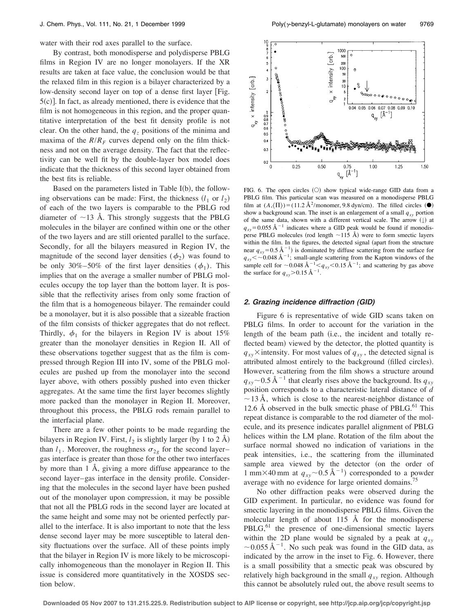water with their rod axes parallel to the surface.

By contrast, both monodisperse and polydisperse PBLG films in Region IV are no longer monolayers. If the XR results are taken at face value, the conclusion would be that the relaxed film in this region is a bilayer characterized by a low-density second layer on top of a dense first layer [Fig.  $5(c)$ ]. In fact, as already mentioned, there is evidence that the film is not homogeneous in this region, and the proper quantitative interpretation of the best fit density profile is not clear. On the other hand, the  $q<sub>z</sub>$  positions of the minima and maxima of the  $R/R_F$  curves depend only on the film thickness and not on the average density. The fact that the reflectivity can be well fit by the double-layer box model does indicate that the thickness of this second layer obtained from the best fits is reliable.

Based on the parameters listed in Table  $I(b)$ , the following observations can be made: First, the thickness  $(l_1 \text{ or } l_2)$ of each of the two layers is comparable to the PBLG rod diameter of  $\sim$ 13 Å. This strongly suggests that the PBLG molecules in the bilayer are confined within one or the other of the two layers and are still oriented parallel to the surface. Secondly, for all the bilayers measured in Region IV, the magnitude of the second layer densities  $(\phi_2)$  was found to be only 30%–50% of the first layer densities  $(\phi_1)$ . This implies that on the average a smaller number of PBLG molecules occupy the top layer than the bottom layer. It is possible that the reflectivity arises from only some fraction of the film that is a homogeneous bilayer. The remainder could be a monolayer, but it is also possible that a sizeable fraction of the film consists of thicker aggregates that do not reflect. Thirdly,  $\phi_1$  for the bilayers in Region IV is about 15% greater than the monolayer densities in Region II. All of these observations together suggest that as the film is compressed through Region III into IV, some of the PBLG molecules are pushed up from the monolayer into the second layer above, with others possibly pushed into even thicker aggregates. At the same time the first layer becomes slightly more packed than the monolayer in Region II. Moreover, throughout this process, the PBLG rods remain parallel to the interfacial plane.

There are a few other points to be made regarding the bilayers in Region IV. First,  $l_2$  is slightly larger (by 1 to 2 Å) than  $l_1$ . Moreover, the roughness  $\sigma_{2g}$  for the second layer– gas interface is greater than those for the other two interfaces by more than 1 Å, giving a more diffuse appearance to the second layer–gas interface in the density profile. Considering that the molecules in the second layer have been pushed out of the monolayer upon compression, it may be possible that not all the PBLG rods in the second layer are located at the same height and some may not be oriented perfectly parallel to the interface. It is also important to note that the less dense second layer may be more susceptible to lateral density fluctuations over the surface. All of these points imply that the bilayer in Region IV is more likely to be microscopically inhomogeneous than the monolayer in Region II. This issue is considered more quantitatively in the XOSDS section below.



FIG. 6. The open circles  $(O)$  show typical wide-range GID data from a PBLG film. This particular scan was measured on a monodisperse PBLG film at  $(A,\langle\Pi\rangle) = (11.2 \text{ Å}^2/\text{monomer}, 9.8 \text{ dyn/cm})$ . The filled circles  $(\bullet)$ show a background scan. The inset is an enlargement of a small  $q_{xy}$  portion of the same data, shown with a different vertical scale. The arrow  $(\downarrow)$  at  $q_{xy}$ =0.055 Å<sup>-1</sup> indicates where a GID peak would be found if monodisperse PBLG molecules (rod length  $\sim$ 115 Å) were to form smectic layers within the film. In the figures, the detected signal (apart from the structure near  $q_{xy}$ =0.5 Å<sup>-1</sup>) is dominated by diffuse scattering from the surface for  $q_{xy} < \sim 0.048$  Å<sup>-1</sup>; small-angle scattering from the Kapton windows of the sample cell for  $\sim$  0.048 Å<sup>-1</sup>  $\lt q_{xy}$   $\lt$  0.15 Å<sup>-1</sup>; and scattering by gas above the surface for  $q_{xy}$  > 0.15 Å<sup>-1</sup>.

### **2. Grazing incidence diffraction (GID)**

Figure 6 is representative of wide GID scans taken on PBLG films. In order to account for the variation in the length of the beam path (i.e., the incident and totally reflected beam) viewed by the detector, the plotted quantity is  $q_{xy}$  intensity. For most values of  $q_{xy}$ , the detected signal is attributed almost entirely to the background (filled circles). However, scattering from the film shows a structure around  $q_{xy}$  ~ 0.5 Å<sup>-1</sup> that clearly rises above the background. Its  $q_{xy}$ position corresponds to a characteristic lateral distance of *d*  $\sim$  13 Å, which is close to the nearest-neighbor distance of 12.6 Å observed in the bulk smectic phase of  $PBLG$ .<sup>61</sup> This repeat distance is comparable to the rod diameter of the molecule, and its presence indicates parallel alignment of PBLG helices within the LM plane. Rotation of the film about the surface normal showed no indication of variations in the peak intensities, i.e., the scattering from the illuminated sample area viewed by the detector (on the order of 1 mm $\times$ 40 mm at  $q_{xy}$   $\sim$  0.5 Å<sup>-1</sup>) corresponded to a powder average with no evidence for large oriented domains.<sup>75</sup>

No other diffraction peaks were observed during the GID experiment. In particular, no evidence was found for smectic layering in the monodisperse PBLG films. Given the molecular length of about 115 Å for the monodisperse  $PBLG<sub>1</sub><sup>61</sup>$  the presence of one-dimensional smectic layers within the 2D plane would be signaled by a peak at  $q_{xy}$  $\sim$  0.055 Å<sup>-1</sup>. No such peak was found in the GID data, as indicated by the arrow in the inset to Fig. 6. However, there is a small possibility that a smectic peak was obscured by relatively high background in the small  $q_{xy}$  region. Although this cannot be absolutely ruled out, the above result seems to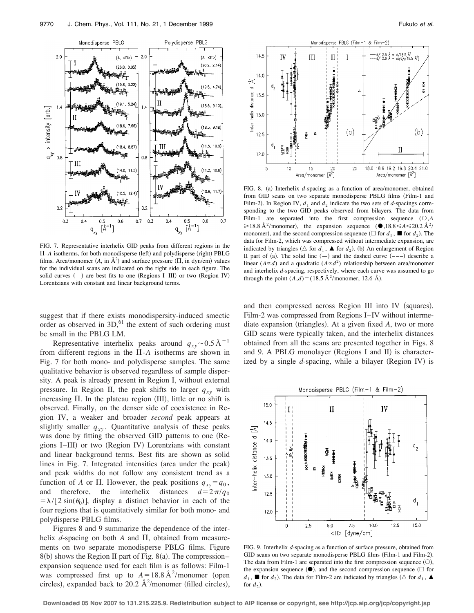

FIG. 7. Representative interhelix GID peaks from different regions in the  $\Pi$ -*A* isotherms, for both monodisperse (left) and polydisperse (right) PBLG films. Area/monomer  $(A, \text{ in } \mathring{A}^2)$  and surface pressure  $(\Pi, \text{ in } \text{dyn/cm})$  values for the individual scans are indicated on the right side in each figure. The solid curves  $(-)$  are best fits to one (Regions I–III) or two (Region IV) Lorentzians with constant and linear background terms.

suggest that if there exists monodispersity-induced smectic order as observed in  $3D<sub>1</sub><sup>61</sup>$  the extent of such ordering must be small in the PBLG LM.

Representative interhelix peaks around  $q_{xy}$  ~ 0.5 Å<sup>-1</sup> from different regions in the  $\Pi$ - $A$  isotherms are shown in Fig. 7 for both mono- and polydisperse samples. The same qualitative behavior is observed regardless of sample dispersity. A peak is already present in Region I, without external pressure. In Region II, the peak shifts to larger  $q_{xy}$  with increasing  $\Pi$ . In the plateau region (III), little or no shift is observed. Finally, on the denser side of coexistence in Region IV, a weaker and broader *second* peak appears at slightly smaller  $q_{xy}$ . Quantitative analysis of these peaks was done by fitting the observed GID patterns to one (Regions I–III) or two (Region IV) Lorentzians with constant and linear background terms. Best fits are shown as solid lines in Fig. 7. Integrated intensities (area under the peak) and peak widths do not follow any consistent trend as a function of *A* or  $\Pi$ . However, the peak positions  $q_{xy} = q_0$ , and therefore, the interhelix distances  $d=2\pi/q_0$  $=\lambda/[2 \sin(\theta_0)]$ , display a distinct behavior in each of the four regions that is quantitatively similar for both mono- and polydisperse PBLG films.

Figures 8 and 9 summarize the dependence of the interhelix  $d$ -spacing on both  $A$  and  $\Pi$ , obtained from measurements on two separate monodisperse PBLG films. Figure  $8(b)$  shows the Region II part of Fig.  $8(a)$ . The compression– expansion sequence used for each film is as follows: Film-1 was compressed first up to  $A = 18.8 \text{ Å}^2/\text{monomer}$  (open circles), expanded back to 20.2  $\AA^2$ /monomer (filled circles),



FIG. 8. (a) Interhelix *d*-spacing as a function of area/monomer, obtained from GID scans on two separate monodisperse PBLG films (Film-1 and Film-2). In Region IV,  $d_1$  and  $d_2$  indicate the two sets of *d*-spacings corresponding to the two GID peaks observed from bilayers. The data from Film-1 are separated into the first compression sequence  $( \bigcirc A)$  $\geq 18.8 \text{ Å}^2/\text{monomer}$ , the expansion sequence ( $\bullet$ ,18.8  $\leq A \leq 20.2 \text{ Å}^2/\text{SO}$ monomer), and the second compression sequence ( $\Box$  for  $d_1$ ,  $\blacksquare$  for  $d_2$ ). The data for Film-2, which was compressed without intermediate expansion, are indicated by triangles ( $\triangle$  for  $d_1$ ,  $\triangle$  for  $d_2$ ). (b) An enlargement of Region II part of (a). The solid line  $(-)$  and the dashed curve  $(--)$  describe a linear  $(A \propto d)$  and a quadratic  $(A \propto d^2)$  relationship between area/monomer and interhelix *d*-spacing, respectively, where each curve was assumed to go through the point  $(A,d) = (18.5 \text{ Å}^2/\text{monomer}, 12.6 \text{ Å}).$ 

and then compressed across Region III into IV (squares). Film-2 was compressed from Regions I–IV without intermediate expansion (triangles). At a given fixed A, two or more GID scans were typically taken, and the interhelix distances obtained from all the scans are presented together in Figs. 8 and 9. A PBLG monolayer (Regions I and II) is characterized by a single *d*-spacing, while a bilayer (Region IV) is



FIG. 9. Interhelix *d*-spacing as a function of surface pressure, obtained from GID scans on two separate monodisperse PBLG films (Film-1 and Film-2). The data from Film-1 are separated into the first compression sequence  $(O)$ , the expansion sequence  $(①)$ , and the second compression sequence  $(①)$  for  $d_1$ , **If** for  $d_2$ ). The data for Film-2 are indicated by triangles ( $\triangle$  for  $d_1$ ,  $\triangle$ for  $d_2$ ).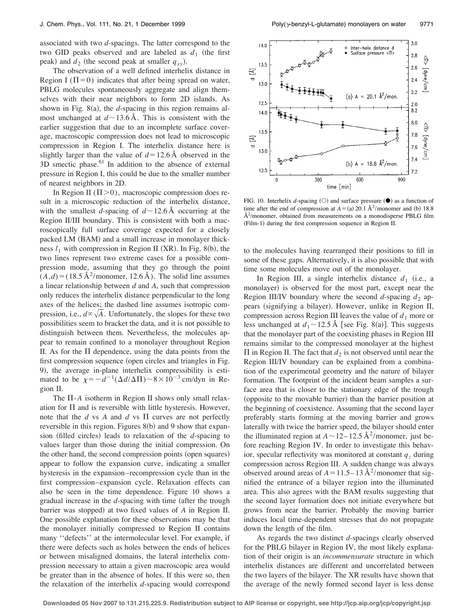associated with two *d*-spacings. The latter correspond to the two GID peaks observed and are labeled as  $d_1$  (the first peak) and  $d_2$  (the second peak at smaller  $q_{xy}$ ).

The observation of a well defined interhelix distance in Region I ( $\Pi$ =0) indicates that after being spread on water, PBLG molecules spontaneously aggregate and align themselves with their near neighbors to form 2D islands. As shown in Fig.  $8(a)$ , the *d*-spacing in this region remains almost unchanged at  $d \sim 13.6$  Å. This is consistent with the earlier suggestion that due to an incomplete surface coverage, macroscopic compression does not lead to microscopic compression in Region I. The interhelix distance here is slightly larger than the value of  $d = 12.6 \text{ Å}$  observed in the  $3D$  smectic phase.<sup>61</sup> In addition to the absence of external pressure in Region I, this could be due to the smaller number of nearest neighbors in 2D.

In Region II ( $\Pi$ >0), macroscopic compression does result in a microscopic reduction of the interhelix distance, with the smallest *d*-spacing of  $d \sim 12.6$  Å occurring at the Region II/III boundary. This is consistent with both a macroscopically full surface coverage expected for a closely packed LM (BAM) and a small increase in monolayer thickness  $l_1$  with compression in Region II (XR). In Fig. 8(b), the two lines represent two extreme cases for a possible compression mode, assuming that they go through the point  $(A,d) = (18.5 \text{ Å}^2/\text{monomer}, 12.6 \text{ Å})$ . The solid line assumes a linear relationship between *d* and *A*, such that compression only reduces the interhelix distance perpendicular to the long axes of the helices; the dashed line assumes isotropic compression, i.e.,  $d \propto \sqrt{A}$ . Unfortunately, the slopes for these two possibilities seem to bracket the data, and it is not possible to distinguish between them. Nevertheless, the molecules appear to remain confined to a monolayer throughout Region II. As for the  $\Pi$  dependence, using the data points from the first compression sequence (open circles and triangles in Fig. 9), the average in-plane interhelix compressibility is estimated to be  $\chi = -d^{-1}(\Delta d/\Delta \Pi) \sim 8 \times 10^{-3}$  cm/dyn in Region II.

The  $\Pi$ - $A$  isotherm in Region II shows only small relaxation for  $\Pi$  and is reversible with little hysteresis. However, note that the  $d$  vs  $A$  and  $d$  vs  $\Pi$  curves are not perfectly reversible in this region. Figures  $8(b)$  and 9 show that expansion (filled circles) leads to relaxation of the *d*-spacing to values larger than those during the initial compression. On the other hand, the second compression points (open squares) appear to follow the expansion curve, indicating a smaller hysteresis in the expansion–recompression cycle than in the first compression–expansion cycle. Relaxation effects can also be seen in the time dependence. Figure 10 shows a gradual increase in the *d*-spacing with time (after the trough barrier was stopped) at two fixed values of *A* in Region II. One possible explanation for these observations may be that the monolayer initially compressed to Region II contains many ''defects'' at the intermolecular level. For example, if there were defects such as holes between the ends of helices or between misaligned domains, the lateral interhelix compression necessary to attain a given macroscopic area would be greater than in the absence of holes. If this were so, then the relaxation of the interhelix *d*-spacing would correspond



FIG. 10. Interhelix *d*-spacing  $\circlearrowright$  and surface pressure  $\circlearrowleft$  as a function of time after the end of compression at  $A = (a) 20.1 \text{ Å}^2/\text{monomer}$  and (b) 18.8  $\AA^2$ /monomer, obtained from measurements on a monodisperse PBLG film (Film-1) during the first compression sequence in Region II.

to the molecules having rearranged their positions to fill in some of these gaps. Alternatively, it is also possible that with time some molecules move out of the monolayer.

In Region III, a single interhelix distance  $d_1$  (i.e., a monolayer) is observed for the most part, except near the Region III/IV boundary where the second  $d$ -spacing  $d_2$  appears (signifying a bilayer). However, unlike in Region II, compression across Region III leaves the value of  $d_1$  more or less unchanged at  $d_1 \sim 12.5$  Å [see Fig. 8(a)]. This suggests that the monolayer part of the coexisting phases in Region III remains similar to the compressed monolayer at the highest  $\Pi$  in Region II. The fact that  $d_2$  is not observed until near the Region III/IV boundary can be explained from a combination of the experimental geometry and the nature of bilayer formation. The footprint of the incident beam samples a surface area that is closer to the stationary edge of the trough (opposite to the movable barrier) than the barrier position at the beginning of coexistence. Assuming that the second layer preferably starts forming at the moving barrier and grows laterally with twice the barrier speed, the bilayer should enter the illuminated region at  $A \sim 12-12.5 \text{ Å}^2/\text{monomer}$ , just before reaching Region IV. In order to investigate this behavior, specular reflectivity was monitored at constant  $q<sub>z</sub>$  during compression across Region III. A sudden change was always observed around areas of  $A = 11.5 - 13 \text{ Å}^2$ /monomer that signified the entrance of a bilayer region into the illuminated area. This also agrees with the BAM results suggesting that the second layer formation does not initiate everywhere but grows from near the barrier. Probably the moving barrier induces local time-dependent stresses that do not propagate down the length of the film.

As regards the two distinct *d*-spacings clearly observed for the PBLG bilayer in Region IV, the most likely explanation of their origin is an *incommensurate* structure in which interhelix distances are different and uncorrelated between the two layers of the bilayer. The XR results have shown that the average of the newly formed second layer is less dense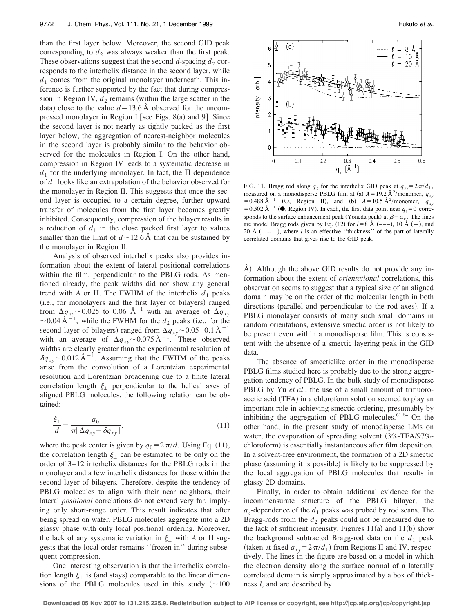than the first layer below. Moreover, the second GID peak corresponding to  $d_2$  was always weaker than the first peak. These observations suggest that the second  $d$ -spacing  $d_2$  corresponds to the interhelix distance in the second layer, while  $d_1$  comes from the original monolayer underneath. This inference is further supported by the fact that during compression in Region IV,  $d_2$  remains (within the large scatter in the data) close to the value  $d = 13.6$  Å observed for the uncompressed monolayer in Region I [see Figs. 8(a) and 9]. Since the second layer is not nearly as tightly packed as the first layer below, the aggregation of nearest-neighbor molecules in the second layer is probably similar to the behavior observed for the molecules in Region I. On the other hand, compression in Region IV leads to a systematic decrease in  $d_1$  for the underlying monolayer. In fact, the  $\Pi$  dependence of *d*<sup>1</sup> looks like an extrapolation of the behavior observed for the monolayer in Region II. This suggests that once the second layer is occupied to a certain degree, further upward transfer of molecules from the first layer becomes greatly inhibited. Consequently, compression of the bilayer results in a reduction of  $d_1$  in the close packed first layer to values smaller than the limit of  $d \sim 12.6 \text{ Å}$  that can be sustained by the monolayer in Region II.

Analysis of observed interhelix peaks also provides information about the extent of lateral positional correlations within the film, perpendicular to the PBLG rods. As mentioned already, the peak widths did not show any general trend with *A* or  $\Pi$ . The FWHM of the interhelix  $d_1$  peaks (i.e., for monolayers and the first layer of bilayers) ranged from  $\Delta q_{xy}$  ~ 0.025 to 0.06 Å<sup>-1</sup> with an average of  $\Delta q_{xy}$  $\sim$  0.04 Å<sup> $-1$ </sup>, while the FWHM for the  $d_2$  peaks (i.e., for the second layer of bilayers) ranged from  $\Delta q_{xy}$  ~ 0.05–0.1 Å<sup>-1</sup> with an average of  $\Delta q_{xy}$  ~ 0.075 Å<sup>-1</sup>. These observed widths are clearly greater than the experimental resolution of  $\delta q_{xy}$  ~ 0.012 Å<sup>-1</sup>. Assuming that the FWHM of the peaks arise from the convolution of a Lorentzian experimental resolution and Lorentzian broadening due to a finite lateral correlation length  $\xi_1$  perpendicular to the helical axes of aligned PBLG molecules, the following relation can be obtained:

$$
\frac{\xi_{\perp}}{d} = \frac{q_0}{\pi [\Delta q_{xy} - \delta q_{xy}]},\tag{11}
$$

where the peak center is given by  $q_0 = 2\pi/d$ . Using Eq. (11), the correlation length  $\xi_{\perp}$  can be estimated to be only on the order of 3–12 interhelix distances for the PBLG rods in the monolayer and a few interhelix distances for those within the second layer of bilayers. Therefore, despite the tendency of PBLG molecules to align with their near neighbors, their lateral *positional* correlations do not extend very far, implying only short-range order. This result indicates that after being spread on water, PBLG molecules aggregate into a 2D glassy phase with only local positional ordering. Moreover, the lack of any systematic variation in  $\xi_+$  with *A* or  $\Pi$  suggests that the local order remains ''frozen in'' during subsequent compression.

One interesting observation is that the interhelix correlation length  $\xi_1$  is (and stays) comparable to the linear dimensions of the PBLG molecules used in this study  $(\sim 100$ 



FIG. 11. Bragg rod along  $q_z$  for the interhelix GID peak at  $q_{xy} = 2\pi/d_1$ , measured on a monodisperse PBLG film at (a)  $A = 19.2 \text{ Å}^2/\text{monomer}, q_{xy}$  $= 0.488 \text{ Å}^{-1}$  (O, Region II), and (b)  $A = 10.5 \text{ Å}^2$ /monomer,  $q_{xy}$ = 0.502 Å<sup>-1</sup> ( $\bullet$ , Region IV). In each, the first data point near  $q_z$ =0 corresponds to the surface enhancement peak (Yoneda peak) at  $\beta = \alpha_c$ . The lines are model Bragg rods given by Eq. (12) for  $l = 8$  Å  $(-,-)$ , 10 Å  $(-)$ , and 20 Å (----), where *l* is an effective "thickness" of the part of laterally correlated domains that gives rise to the GID peak.

A). Although the above GID results do not provide any information about the extent of *orientational* correlations, this observation seems to suggest that a typical size of an aligned domain may be on the order of the molecular length in both directions (parallel and perpendicular to the rod axes). If a PBLG monolayer consists of many such small domains in random orientations, extensive smectic order is not likely to be present even within a monodisperse film. This is consistent with the absence of a smectic layering peak in the GID data.

The absence of smecticlike order in the monodisperse PBLG films studied here is probably due to the strong aggregation tendency of PBLG. In the bulk study of monodisperse PBLG by Yu *et al.*, the use of a small amount of trifluoroacetic acid (TFA) in a chloroform solution seemed to play an important role in achieving smectic ordering, presumably by inhibiting the aggregation of PBLG molecules. $61,64$  On the other hand, in the present study of monodisperse LMs on water, the evaporation of spreading solvent  $(3\% - TFA/97\%)$ chloroform) is essentially instantaneous after film deposition. In a solvent-free environment, the formation of a 2D smectic phase (assuming it is possible) is likely to be suppressed by the local aggregation of PBLG molecules that results in glassy 2D domains.

Finally, in order to obtain additional evidence for the incommensurate structure of the PBLG bilayer, the  $q_z$ -dependence of the  $d_1$  peaks was probed by rod scans. The Bragg-rods from the  $d_2$  peaks could not be measured due to the lack of sufficient intensity. Figures  $11(a)$  and  $11(b)$  show the background subtracted Bragg-rod data on the  $d_1$  peak (taken at fixed  $q_{xy} = 2\pi/d_1$ ) from Regions II and IV, respectively. The lines in the figure are based on a model in which the electron density along the surface normal of a laterally correlated domain is simply approximated by a box of thickness *l*, and are described by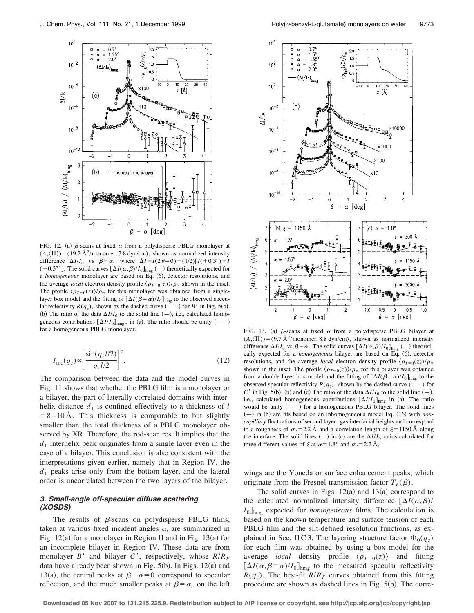

FIG. 12. (a)  $\beta$ -scans at fixed  $\alpha$  from a polydisperse PBLG monolayer at  $(A,\langle\Pi\rangle) = (19.2 \text{ Å}^2/\text{monomer}, 7.8 \text{ dyn/cm})$ , shown as normalized intensity difference  $\Delta I/I_0$  vs  $\beta - \alpha$ , where  $\Delta I = I(2\theta=0) - (1/2)[I(+0.3^\circ) + I]$  $(-0.3^{\circ})$ ]. The solid curves  $[\Delta I(\alpha, \beta)/I_0]_{\text{hmg}}(-)$  theoretically expected for a *homogeneous* monolayer are based on Eq. (6), detector resolutions, and the average *local* electron density profile  $\langle \rho_{T=0}(z) \rangle / \rho_{\infty}$  shown in the inset. The profile  $\langle \rho_{T=0}(z) \rangle / \rho_{\infty}$  for this monolayer was obtained from a singlelayer box model and the fitting of  $[\Delta I(\beta = \alpha)/I_0]_{\text{hmg}}$  to the observed specular reflectivity  $R(q_z)$ , shown by the dashed curve  $(---)$  for *B*' in Fig. 5(b). (b) The ratio of the data  $\Delta I/I_0$  to the solid line  $(-)$ , i.e., calculated homogeneous contributions  $[\Delta I/I_0]_{\text{hmg}}$ , in (a). The ratio should be unity  $(---)$  for a homogeneous PBLG monolayer.

$$
I_{\rm rod}(q_z) \propto \left[ \frac{\sin(q_z l/2)}{q_z l/2} \right]^2.
$$
 (12)

The comparison between the data and the model curves in Fig. 11 shows that whether the PBLG film is a monolayer or a bilayer, the part of laterally correlated domains with interhelix distance  $d_1$  is confined effectively to a thickness of  $l$  $= 8 - 10$  Å. This thickness is comparable to but slightly smaller than the total thickness of a PBLG monolayer observed by XR. Therefore, the rod-scan result implies that the  $d_1$  interhelix peak originates from a single layer even in the case of a bilayer. This conclusion is also consistent with the interpretations given earlier, namely that in Region IV, the  $d_1$  peaks arise only from the bottom layer, and the lateral order is uncorrelated between the two layers of the bilayer.

## **3. Small-angle off-specular diffuse scattering (XOSDS)**

The results of  $\beta$ -scans on polydisperse PBLG films, taken at various fixed incident angles  $\alpha$ , are summarized in Fig.  $12(a)$  for a monolayer in Region II and in Fig.  $13(a)$  for an incomplete bilayer in Region IV. These data are from monolayer *B*<sup>'</sup> and bilayer *C*<sup>'</sup>, respectively, whose  $R/R_F$ data have already been shown in Fig.  $5(b)$ . In Figs. 12(a) and 13(a), the central peaks at  $\beta - \alpha = 0$  correspond to specular reflection, and the much smaller peaks at  $\beta = \alpha_c$  on the left



FIG. 13. (a)  $\beta$ -scans at fixed  $\alpha$  from a polydisperse PBLG bilayer at  $(A,\langle\Pi\rangle) = (9.7 \text{ Å}^2/\text{monomer}, 8.8 \text{ dyn/cm})$ , shown as normalized intensity difference  $\Delta I/I_0$  vs  $\beta - \alpha$ . The solid curves  $[\Delta I(\alpha, \beta)/I_0]_{\text{hmg}}$  (-) theoretically expected for a *homogeneous* bilayer are based on Eq. (6), detector resolutions, and the average *local* electron density profile  $\langle \rho_{T=0}(z) \rangle / \rho_{\infty}$ shown in the inset. The profile  $\langle \rho_{T=0}(z) \rangle / \rho_{\infty}$  for this bilayer was obtained from a double-layer box model and the fitting of  $[\Delta I(\beta = \alpha)/I_0]_{\text{hmg}}$  to the observed specular reflectivity  $R(q_z)$ , shown by the dashed curve  $(---)$  for *C*' in Fig. 5(b). (b) and (c) The ratio of the data  $\Delta I/I_0$  to the solid line  $(-)$ , i.e., calculated homogeneous contributions  $[\Delta I/I_0]_{\text{hmg}}$  in (a). The ratio would be unity  $(- - )$  for a homogeneous PBLG bilayer. The solid lines  $(-)$  in (b) are fits based on an inhomogeneous model Eq. (16) with *noncapillary* fluctuations of second layer–gas interfacial heights and correspond to a roughness of  $\sigma_2$ =2.2 Å and a correlation length of  $\xi$ =1150 Å along the interface. The solid lines  $(-)$  in  $(c)$  are the  $\Delta I/I_0$  ratios calculated for three different values of  $\xi$  at  $\alpha = 1.8^\circ$  and  $\sigma_2 = 2.2$  Å.

wings are the Yoneda or surface enhancement peaks, which originate from the Fresnel transmission factor  $T_F(\beta)$ .

The solid curves in Figs.  $12(a)$  and  $13(a)$  correspond to the calculated normalized intensity difference  $[\Delta I(\alpha,\beta)/\Delta]$  $I_0$ <sub>lnmg</sub> expected for *homogeneous* films. The calculation is based on the known temperature and surface tension of each PBLG film and the slit-defined resolution functions, as explained in Sec. II C 3. The layering structure factor  $\Phi_0(q_z)$ for each film was obtained by using a box model for the average *local* density profile  $\langle \rho_{T=0}(z) \rangle$  and fitting  $[\Delta I(\alpha, \beta = \alpha)/I_0]_{\text{hmg}}$  to the measured specular reflectivity  $R(q<sub>z</sub>)$ . The best-fit  $R/R<sub>F</sub>$  curves obtained from this fitting procedure are shown as dashed lines in Fig.  $5(b)$ . The corre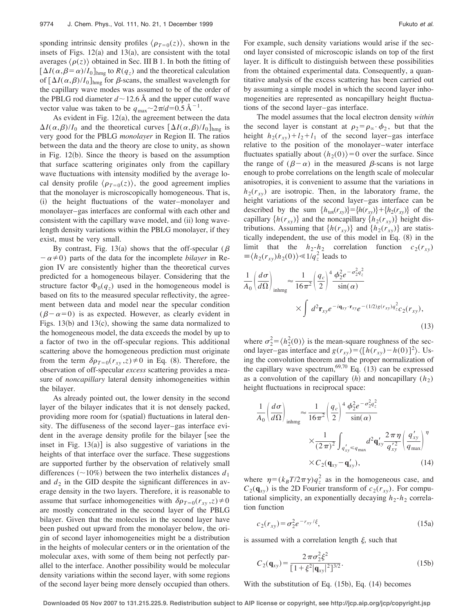sponding intrinsic density profiles  $\langle \rho_{T=0}(z) \rangle$ , shown in the insets of Figs.  $12(a)$  and  $13(a)$ , are consistent with the total averages  $\langle \rho(z) \rangle$  obtained in Sec. III B 1. In both the fitting of  $[\Delta I(\alpha, \beta = \alpha)/I_0]_{\text{hmg}}$  to  $R(q_z)$  and the theoretical calculation of  $[\Delta I(\alpha,\beta)/I_0]_{\text{hmg}}$  for  $\beta$ -scans, the smallest wavelength for the capillary wave modes was assumed to be of the order of the PBLG rod diameter  $d \sim 12.6$  Å and the upper cutoff wave vector value was taken to be  $q_{\text{max}} \sim 2\pi/d = 0.5 \text{ Å}^{-1}$ .

As evident in Fig.  $12(a)$ , the agreement between the data  $\Delta I(\alpha, \beta)/I_0$  and the theoretical curves  $[\Delta I(\alpha, \beta)/I_0]_{hm}$  is very good for the PBLG *monolayer* in Region II. The ratios between the data and the theory are close to unity, as shown in Fig.  $12(b)$ . Since the theory is based on the assumption that surface scattering originates only from the capillary wave fluctuations with intensity modified by the average local density profile  $\langle \rho_{T=0}(z) \rangle$ , the good agreement implies that the monolayer is microscopically homogeneous. That is, (i) the height fluctuations of the water–monolayer and monolayer–gas interfaces are conformal with each other and consistent with the capillary wave model, and (ii) long wavelength density variations within the PBLG monolayer, if they exist, must be very small.

By contrast, Fig. 13(a) shows that the off-specular ( $\beta$  $-\alpha \neq 0$ ) parts of the data for the incomplete *bilayer* in Region IV are consistently higher than the theoretical curves predicted for a homogeneous bilayer. Considering that the structure factor  $\Phi_0(q_z)$  used in the homogeneous model is based on fits to the measured specular reflectivity, the agreement between data and model near the specular condition  $(\beta - \alpha = 0)$  is as expected. However, as clearly evident in Figs.  $13(b)$  and  $13(c)$ , showing the same data normalized to the homogeneous model, the data exceeds the model by up to a factor of two in the off-specular regions. This additional scattering above the homogeneous prediction must originate from the term  $\delta \rho_{T=0}(r_{xy}, z) \neq 0$  in Eq. (8). Therefore, the observation of off-specular *excess* scattering provides a measure of *noncapillary* lateral density inhomogeneities within the bilayer.

As already pointed out, the lower density in the second layer of the bilayer indicates that it is not densely packed, providing more room for (spatial) fluctuations in lateral density. The diffuseness of the second layer–gas interface evident in the average density profile for the bilayer [see the inset in Fig.  $13(a)$ ] is also suggestive of variations in the heights of that interface over the surface. These suggestions are supported further by the observation of relatively small differences  $(\sim 10\%)$  between the two interhelix distances  $d_1$ and  $d_2$  in the GID despite the significant differences in average density in the two layers. Therefore, it is reasonable to assume that surface inhomogeneities with  $\delta \rho_{T=0}(r_{xy}, z) \neq 0$ are mostly concentrated in the second layer of the PBLG bilayer. Given that the molecules in the second layer have been pushed out upward from the monolayer below, the origin of second layer inhomogeneities might be a distribution in the heights of molecular centers or in the orientation of the molecular axes, with some of them being not perfectly parallel to the interface. Another possibility would be molecular density variations within the second layer, with some regions of the second layer being more densely occupied than others. For example, such density variations would arise if the second layer consisted of microscopic islands on top of the first layer. It is difficult to distinguish between these possibilities from the obtained experimental data. Consequently, a quantitative analysis of the excess scattering has been carried out by assuming a simple model in which the second layer inhomogeneities are represented as noncapillary height fluctuations of the second layer–gas interface.

The model assumes that the local electron density *within* the second layer is constant at  $\rho_2 = \rho_\infty \cdot \phi_2$ , but that the height  $h_2(r_{xy})+l_2+l_1$  of the second layer–gas interface relative to the position of the monolayer–water interface fluctuates spatially about  $\langle h_2(0) \rangle = 0$  over the surface. Since the range of  $(\beta - \alpha)$  in the measured  $\beta$ -scans is not large enough to probe correlations on the length scale of molecular anisotropies, it is convenient to assume that the variations in  $h_2(r_{xy})$  are isotropic. Then, in the laboratory frame, the height variations of the second layer–gas interface can be described by the sum  $\{h_{\text{tot}}(r_{xy})\} = \{h(r_{xy})\} + \{h_2(r_{xy})\}$  of the capillary  $\{h(r_{xy})\}$  and the noncapillary  $\{h_2(r_{xy})\}$  height distributions. Assuming that  $\{h(r_{xy})\}$  and  $\{h_2(r_{xy})\}$  are statistically independent, the use of this model in Eq.  $(8)$  in the limit that the  $h_2-h_2$  correlation function  $c_2(r_{xy})$  $\equiv \langle h_2(r_{xy})h_2(0)\rangle \ll 1/q_z^2$  leads to

$$
\frac{1}{A_0} \left( \frac{d\sigma}{d\Omega} \right)_{\text{inhmg}} \approx \frac{1}{16\pi^2} \left( \frac{q_c}{2} \right)^4 \frac{\phi_2^2 e^{-\sigma_2^2 q_z^2}}{\sin(\alpha)}
$$
\n
$$
\times \int d^2 \mathbf{r}_{xy} e^{-i\mathbf{q}_{xy} \cdot \mathbf{r}_{xy}} e^{-(1/2)g(r_{xy}) q_z^2} c_2(r_{xy}),
$$
\n(13)

where  $\sigma_2^2 = \langle h_2^2(0) \rangle$  is the mean-square roughness of the second layer–gas interface and  $g(r_{xy}) = \langle [h(r_{xy}) - h(0)]^2 \rangle$ . Using the convolution theorem and the proper normalization of the capillary wave spectrum,  $69,70$  Eq. (13) can be expressed as a convolution of the capillary  $(h)$  and noncapillary  $(h_2)$ height fluctuations in reciprocal space:

$$
\frac{1}{A_0} \left( \frac{d\sigma}{d\Omega} \right)_{\text{inhmg}} \approx \frac{1}{16\pi^2} \left( \frac{q_c}{2} \right)^4 \frac{\phi_2^2 e^{-\sigma_2^2 q_c^2}}{\sin(\alpha)}
$$
\n
$$
\times \frac{1}{(2\pi)^2} \int_{q'_{xy} \leq q_{\text{max}}} d^2 \mathbf{q}'_{xy} \frac{2\pi \eta}{q'_{xy}} \left( \frac{q'_{xy}}{q_{\text{max}}} \right)^{\eta}
$$
\n
$$
\times C_2(\mathbf{q}_{xy} - \mathbf{q}'_{xy}), \qquad (14)
$$

where  $\eta = (k_B T/2\pi \gamma) q_z^2$  as in the homogeneous case, and  $C_2(\mathbf{q}_{xy})$  is the 2D Fourier transform of  $c_2(r_{xy})$ . For computational simplicity, an exponentially decaying  $h_2-h_2$  correlation function

$$
c_2(r_{xy}) = \sigma_2^2 e^{-r_{xy}/\xi},
$$
\n(15a)

is assumed with a correlation length  $\xi$ , such that

$$
C_2(\mathbf{q}_{xy}) = \frac{2\,\pi\sigma_2^2 \xi^2}{\left[1 + \xi^2 |\mathbf{q}_{xy}|^2\right]^{3/2}}.
$$
 (15b)

With the substitution of Eq.  $(15b)$ , Eq.  $(14)$  becomes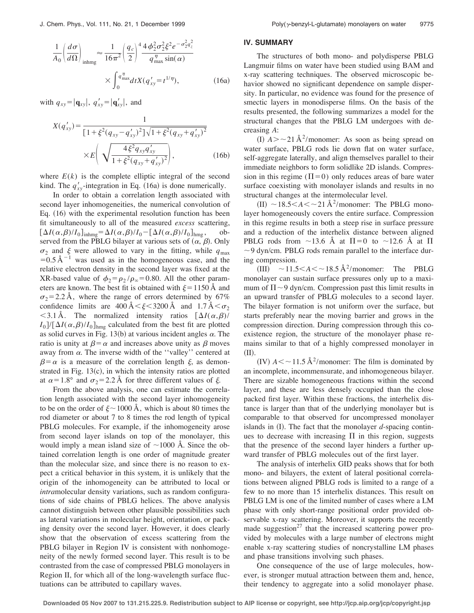$$
\frac{1}{A_0} \left( \frac{d\sigma}{d\Omega} \right)_{\text{inhmg}} \approx \frac{1}{16\pi^2} \left( \frac{q_c}{2} \right)^4 \frac{4\phi_2^2 \sigma_2^2 \xi^2 e^{-\sigma_2^2 q_z^2}}{q_{\text{max}}^{\eta} \sin(\alpha)}
$$

$$
\times \int_0^{q_{\text{max}}^{\eta}} dt X(q_{xy}^{\prime} = t^{1/\eta}), \qquad (16a)
$$

with  $q_{xy} = |\mathbf{q}_{xy}|$ ,  $q'_{xy} = |\mathbf{q}'_{xy}|$ , and

$$
X(q'_{xy}) = \frac{1}{\left[1 + \xi^2 (q_{xy} - q'_{xy})^2\right] \sqrt{1 + \xi^2 (q_{xy} + q'_{xy})^2}} \times E\left(\sqrt{\frac{4\xi^2 q_{xy} q'_{xy}}{1 + \xi^2 (q_{xy} + q'_{xy})^2}}\right),
$$
(16b)

where  $E(k)$  is the complete elliptic integral of the second kind. The  $q'_{xy}$ -integration in Eq. (16a) is done numerically.

In order to obtain a correlation length associated with second layer inhomogeneities, the numerical convolution of Eq.  $(16)$  with the experimental resolution function has been fit simultaneously to all of the measured *excess* scattering,  $[\Delta I(\alpha, \beta)/I_0]_{\text{inhmg}} = \Delta I(\alpha, \beta)/I_0 - [\Delta I(\alpha, \beta)/I_0]_{\text{hmg}}$ , observed from the PBLG bilayer at various sets of  $(\alpha, \beta)$ . Only  $\sigma_2$  and  $\xi$  were allowed to vary in the fitting, while  $q_{\text{max}}$  $=0.5 \text{ Å}^{-1}$  was used as in the homogeneous case, and the relative electron density in the second layer was fixed at the XR-based value of  $\phi_2 = \rho_2 / \rho_\infty = 0.80$ . All the other parameters are known. The best fit is obtained with  $\xi = 1150$  Å and  $\sigma_2$ =2.2 Å, where the range of errors determined by 67% confidence limits are  $400 \text{ Å} < \xi < 3200 \text{ Å}$  and  $1.7 \text{ Å} < \sigma_2$  $<$ 3.1 Å. The normalized intensity ratios  $\left[\Delta I(\alpha,\beta)\right]$  $I_0$ ]/[ $\Delta I(\alpha, \beta)/I_0$ ]<sub>hmg</sub> calculated from the best fit are plotted as solid curves in Fig. 13(b) at various incident angles  $\alpha$ . The ratio is unity at  $\beta = \alpha$  and increases above unity as  $\beta$  moves away from  $\alpha$ . The inverse width of the "valley" centered at  $\beta = \alpha$  is a measure of the correlation length  $\xi$ , as demonstrated in Fig.  $13(c)$ , in which the intensity ratios are plotted at  $\alpha = 1.8^\circ$  and  $\sigma_2 = 2.2$  Å for three different values of  $\xi$ .

From the above analysis, one can estimate the correlation length associated with the second layer inhomogeneity to be on the order of  $\xi \sim 1000 \text{ Å}$ , which is about 80 times the rod diameter or about 7 to 8 times the rod length of typical PBLG molecules. For example, if the inhomogeneity arose from second layer islands on top of the monolayer, this would imply a mean island size of  $\sim$ 1000 Å. Since the obtained correlation length is one order of magnitude greater than the molecular size, and since there is no reason to expect a critical behavior in this system, it is unlikely that the origin of the inhomogeneity can be attributed to local or *intra*molecular density variations, such as random configurations of side chains of PBLG helices. The above analysis cannot distinguish between other plausible possibilities such as lateral variations in molecular height, orientation, or packing density over the second layer. However, it does clearly show that the observation of excess scattering from the PBLG bilayer in Region IV is consistent with nonhomogeneity of the newly formed second layer. This result is to be contrasted from the case of compressed PBLG monolayers in Region II, for which all of the long-wavelength surface fluctuations can be attributed to capillary waves.

### **IV. SUMMARY**

The structures of both mono- and polydisperse PBLG Langmuir films on water have been studied using BAM and x-ray scattering techniques. The observed microscopic behavior showed no significant dependence on sample dispersity. In particular, no evidence was found for the presence of smectic layers in monodisperse films. On the basis of the results presented, the following summarizes a model for the structural changes that the PBLG LM undergoes with decreasing *A*:

(I)  $A > \sim 21 \text{ Å}^2$ /monomer: As soon as being spread on water surface, PBLG rods lie down flat on water surface, self-aggregate laterally, and align themselves parallel to their immediate neighbors to form solidlike 2D islands. Compression in this regime ( $\Pi$ =0) only reduces areas of bare water surface coexisting with monolayer islands and results in no structural changes at the intermolecular level.

 $\text{(II)} \sim 18.5 < A < \sim 21 \text{ Å}^2/\text{monomer: The PBLG mono-}$ layer homogeneously covers the entire surface. Compression in this regime results in both a steep rise in surface pressure and a reduction of the interhelix distance between aligned PBLG rods from  $\sim$ 13.6 Å at  $\Pi$ =0 to  $\sim$ 12.6 Å at  $\Pi$  $\sim$  9 dyn/cm. PBLG rods remain parallel to the interface during compression.

(III)  $\sim$  11.5  $\lt$  *A*  $\lt$   $\sim$  18.5 Å<sup>2</sup>/monomer: The PBLG monolayer can sustain surface pressures only up to a maximum of  $\Pi \sim 9$  dyn/cm. Compression past this limit results in an upward transfer of PBLG molecules to a second layer. The bilayer formation is not uniform over the surface, but starts preferably near the moving barrier and grows in the compression direction. During compression through this coexistence region, the structure of the monolayer phase remains similar to that of a highly compressed monolayer in  $(II).$ 

(IV)  $A \leq \sim 11.5 \text{ Å}^2/\text{monomer:}$  The film is dominated by an incomplete, incommensurate, and inhomogeneous bilayer. There are sizable homogeneous fractions within the second layer, and these are less densely occupied than the close packed first layer. Within these fractions, the interhelix distance is larger than that of the underlying monolayer but is comparable to that observed for uncompressed monolayer islands in  $(I)$ . The fact that the monolayer *d*-spacing continues to decrease with increasing  $\Pi$  in this region, suggests that the presence of the second layer hinders a further upward transfer of PBLG molecules out of the first layer.

The analysis of interhelix GID peaks shows that for both mono- and bilayers, the extent of lateral positional correlations between aligned PBLG rods is limited to a range of a few to no more than 15 interhelix distances. This result on PBLG LM is one of the limited number of cases where a LM phase with only short-range positional order provided observable x-ray scattering. Moreover, it supports the recently made suggestion<sup>27</sup> that the increased scattering power provided by molecules with a large number of electrons might enable x-ray scattering studies of noncrystalline LM phases and phase transitions involving such phases.

One consequence of the use of large molecules, however, is stronger mutual attraction between them and, hence, their tendency to aggregate into a solid monolayer phase.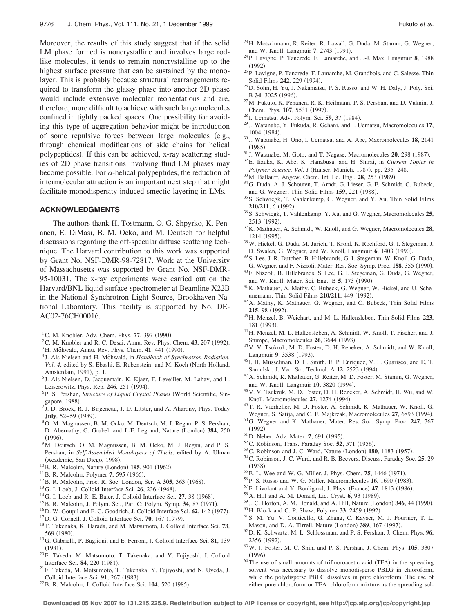Moreover, the results of this study suggest that if the solid LM phase formed is noncrystalline and involves large rodlike molecules, it tends to remain noncrystalline up to the highest surface pressure that can be sustained by the monolayer. This is probably because structural rearrangements required to transform the glassy phase into another 2D phase would include extensive molecular reorientations and are, therefore, more difficult to achieve with such large molecules confined in tightly packed spaces. One possibility for avoiding this type of aggregation behavior might be introduction of some repulsive forces between large molecules (e.g., through chemical modifications of side chains for helical polypeptides). If this can be achieved, x-ray scattering studies of 2D phase transitions involving fluid LM phases may become possible. For  $\alpha$ -helical polypeptides, the reduction of intermolecular attraction is an important next step that might facilitate monodispersity-induced smectic layering in LMs.

### **ACKNOWLEDGMENTS**

The authors thank H. Tostmann, O. G. Shpyrko, K. Penanen, E. DiMasi, B. M. Ocko, and M. Deutsch for helpful discussions regarding the off-specular diffuse scattering technique. The Harvard contribution to this work was supported by Grant No. NSF-DMR-98-72817. Work at the University of Massachusetts was supported by Grant No. NSF-DMR-95-10031. The x-ray experiments were carried out on the Harvard/BNL liquid surface spectrometer at Beamline X22B in the National Synchrotron Light Source, Brookhaven National Laboratory. This facility is supported by No. DE-AC02-76CH00016.

- <sup>1</sup>C. M. Knobler, Adv. Chem. Phys.  $77$ , 397 (1990).
- ${}^{2}$ C. M. Knobler and R. C. Desai, Annu. Rev. Phys. Chem. 43, 207 (1992).
- <sup>3</sup>H. Möhwald, Annu. Rev. Phys. Chem. **41**, 441 (1990).
- <sup>4</sup> J. Als-Nielsen and H. Möhwald, in *Handbook of Synchrotron Radiation*, Vol. 4, edited by S. Ebashi, E. Rubenstein, and M. Koch (North Holland, Amsterdam, 1991), p. 1.
- <sup>5</sup> J. Als-Nielsen, D. Jacquemain, K. Kjaer, F. Leveiller, M. Lahav, and L. Leiserowitz, Phys. Rep. 246, 251 (1994).
- <sup>6</sup>P. S. Pershan, *Structure of Liquid Crystal Phases* (World Scientific, Singapore, 1988).
- $7J.$  D. Brock, R. J. Birgeneau, J. D. Litster, and A. Aharony, Phys. Today **July**, 52-59 (1989).
- 8O. M. Magnussen, B. M. Ocko, M. Deutsch, M. J. Regan, P. S. Pershan, D. Abernathy, G. Grubel, and J.-F. Legrand, Nature (London) 384, 250  $(1996)$ .
- <sup>9</sup>M. Deutsch, O. M. Magnussen, B. M. Ocko, M. J. Regan, and P. S. Pershan, in *Self-Assembled Monolayers of Thiols*, edited by A. Ulman (Academic, San Diego, 1998).
- <sup>10</sup>B. R. Malcolm, Nature (London) **195**, 901 (1962).
- <sup>11</sup> B. R. Malcolm, Polymer 7, 595 (1966).
- <sup>12</sup>B. R. Malcolm, Proc. R. Soc. London, Ser. A 305, 363 (1968).
- <sup>13</sup> G. I. Loeb, J. Colloid Interface Sci. **26**, 236 (1968).
- $14$ G. I. Loeb and R. E. Baier, J. Colloid Interface Sci. 27, 38 (1968).
- <sup>15</sup> B. R. Malcolm, J. Polym. Sci., Part C: Polym. Symp. 34, 87 (1971).
- <sup>16</sup>D. W. Goupil and F. C. Goodrich, J. Colloid Interface Sci. **62**, 142 (1977).
- <sup>17</sup> D. G. Cornell, J. Colloid Interface Sci. **70**, 167 (1979).
- 18T. Takenaka, K. Harada, and M. Matsumoto, J. Colloid Interface Sci. **73**, 569 (1980).
- 19G. Gabrielli, P. Baglioni, and E. Ferroni, J. Colloid Interface Sci. **81**, 139  $(1981)$ .
- 20F. Takeda, M. Matsumoto, T. Takenaka, and Y. Fujiyoshi, J. Colloid Interface Sci. 84, 220 (1981).
- 21F. Takeda, M. Matsumoto, T. Takenaka, Y. Fujiyoshi, and N. Uyeda, J. Colloid Interface Sci. 91, 267 (1983).
- <sup>22</sup> B. R. Malcolm, J. Colloid Interface Sci. **104**, 520 (1985).
- 23H. Motschmann, R. Reiter, R. Lawall, G. Duda, M. Stamm, G. Wegner, and W. Knoll, Langmuir 7, 2743 (1991).
- 24P. Lavigne, P. Tancrede, F. Lamarche, and J.-J. Max, Langmuir **8**, 1988  $(1992)$ .
- 25P. Lavigne, P. Tancrede, F. Lamarche, M. Grandbois, and C. Salesse, Thin Solid Films 242, 229 (1994).
- 26D. Sohn, H. Yu, J. Nakamatsu, P. S. Russo, and W. H. Daly, J. Poly. Sci. B 34, 3025 (1996).
- 27M. Fukuto, K. Penanen, R. K. Heilmann, P. S. Pershan, and D. Vaknin, J. Chem. Phys. 107, 5531 (1997).
- <sup>28</sup> I. Uematsu, Adv. Polym. Sci. 59, 37 (1984).
- <sup>29</sup> J. Watanabe, Y. Fukuda, R. Gehani, and I. Uematsu, Macromolecules **17**, 1004 (1984).
- <sup>30</sup> J. Watanabe, H. Ono, I. Uematsu, and A. Abe, Macromolecules **18**, 2141  $(1985).$
- <sup>31</sup> J. Watanabe, M. Goto, and T. Nagase, Macromolecules **20**, 298 (1987).
- 32E. Iizuka, K. Abe, K. Hanabusa, and H. Shirai, in *Current Topics in Polymer Science, Vol. I* (Hanser, Munich, 1987), pp. 235-248.
- <sup>33</sup> M. Ballauff, Angew. Chem. Int. Ed. Engl. **28**, 253 (1989).
- 34G. Duda, A. J. Schouten, T. Arndt, G. Lieser, G. F. Schmidt, C. Bubeck, and G. Wegner, Thin Solid Films 159, 221 (1988).
- 35S. Schwiegk, T. Vahlenkamp, G. Wegner, and Y. Xu, Thin Solid Films **210/211**, 6 (1992).
- 36S. Schwiegk, T. Vahlenkamp, Y. Xu, and G. Wegner, Macromolecules **25**, 2513 (1992).
- 37K. Mathauer, A. Schmidt, W. Knoll, and G. Wegner, Macromolecules **28**, 1214 (1995).
- 38W. Hickel, G. Duda, M. Jurich, T. Krohl, K. Rochford, G. I. Stegeman, J. D. Swalen, G. Wegner, and W. Knoll, Langmuir 6, 1403 (1990).
- 39S. Lee, J. R. Dutcher, B. Hillebrands, G. I. Stegeman, W. Knoll, G. Duda, G. Wegner, and F. Nizzoli, Mater. Res. Soc. Symp. Proc. 188, 355 (1990).
- 40F. Nizzoli, B. Hillebrands, S. Lee, G. I. Stegeman, G. Duda, G. Wegner, and W. Knoll, Mater. Sci. Eng., B 5, 173 (1990).
- 41K. Mathauer, A. Mathy, C. Bubeck, G. Wegner, W. Hickel, and U. Scheunemann, Thin Solid Films 210/211, 449 (1992).
- <sup>42</sup>A. Mathy, K. Mathauer, G. Wegner, and C. Bubeck, Thin Solid Films 215, 98 (1992).
- 43H. Menzel, B. Weichart, and M. L. Hallensleben, Thin Solid Films **223**, 181 (1993).
- 44H. Menzel, M. L. Hallensleben, A. Schmidt, W. Knoll, T. Fischer, and J. Stumpe, Macromolecules **26**, 3644 (1993).
- 45V. V. Tsukruk, M. D. Foster, D. H. Reneker, A. Schmidt, and W. Knoll, Langmuir 9, 3538 (1993).
- 46 I. H. Musselman, D. L. Smith, E. P. Enriquez, V. F. Guarisco, and E. T. Samulski, J. Vac. Sci. Technol. A 12, 2523 (1994).
- 47A. Schmidt, K. Mathauer, G. Reiter, M. D. Foster, M. Stamm, G. Wegner, and W. Knoll, Langmuir 10, 3820 (1994).
- 48V. V. Tsukruk, M. D. Foster, D. H. Reneker, A. Schmidt, H. Wu, and W. Knoll, Macromolecules 27, 1274 (1994).
- 49T. R. Vierheller, M. D. Foster, A. Schmidt, K. Mathauer, W. Knoll, G. Wegner, S. Satija, and C. F. Majkrzak, Macromolecules 27, 6893 (1994).
- 50G. Wegner and K. Mathauer, Mater. Res. Soc. Symp. Proc. **247**, 767  $(1992).$
- <sup>51</sup> D. Neher, Adv. Mater. 7, 691 (1995).
- <sup>52</sup>C. Robinson, Trans. Faraday Soc. **52**, 571 (1956).
- <sup>53</sup> C. Robinson and J. C. Ward, Nature (London) **180**, 1183 (1957).
- 54C. Robinson, J. C. Ward, and R. B. Beevers, Discuss. Faraday Soc. **25**, 29  $(1958)$ .
- <sup>55</sup>E. L. Wee and W. G. Miller, J. Phys. Chem. **75**, 1446 (1971).
- <sup>56</sup>P. S. Russo and W. G. Miller, Macromolecules **16**, 1690 (1983).
- <sup>57</sup>F. Livolant and Y. Bouligand, J. Phys. (France) 47, 1813 (1986).
- <sup>58</sup> A. Hill and A. M. Donald, Liq. Cryst. **6**, 93 (1989).
- <sup>59</sup> J. C. Horton, A. M. Donald, and A. Hill, Nature (London) 346, 44 (1990).
- <sup>60</sup> H. Block and C. P. Shaw, Polymer 33, 2459 (1992).
- 61S. M. Yu, V. Conticello, G. Zhang, C. Kayser, M. J. Fournier, T. L. Mason, and D. A. Tirrell, Nature (London) 389, 167 (1997).
- 62D. K. Schwartz, M. L. Schlossman, and P. S. Pershan, J. Chem. Phys. **96**, 2356 (1992).
- 63W. J. Foster, M. C. Shih, and P. S. Pershan, J. Chem. Phys. **105**, 3307  $(1996).$
- $64$ The use of small amounts of trifluoroacetic acid (TFA) in the spreading solvent was necessary to dissolve monodisperse PBLG in chloroform, while the polydisperse PBLG dissolves in pure chloroform. The use of either pure chloroform or TFA–chloroform mixture as the spreading sol-